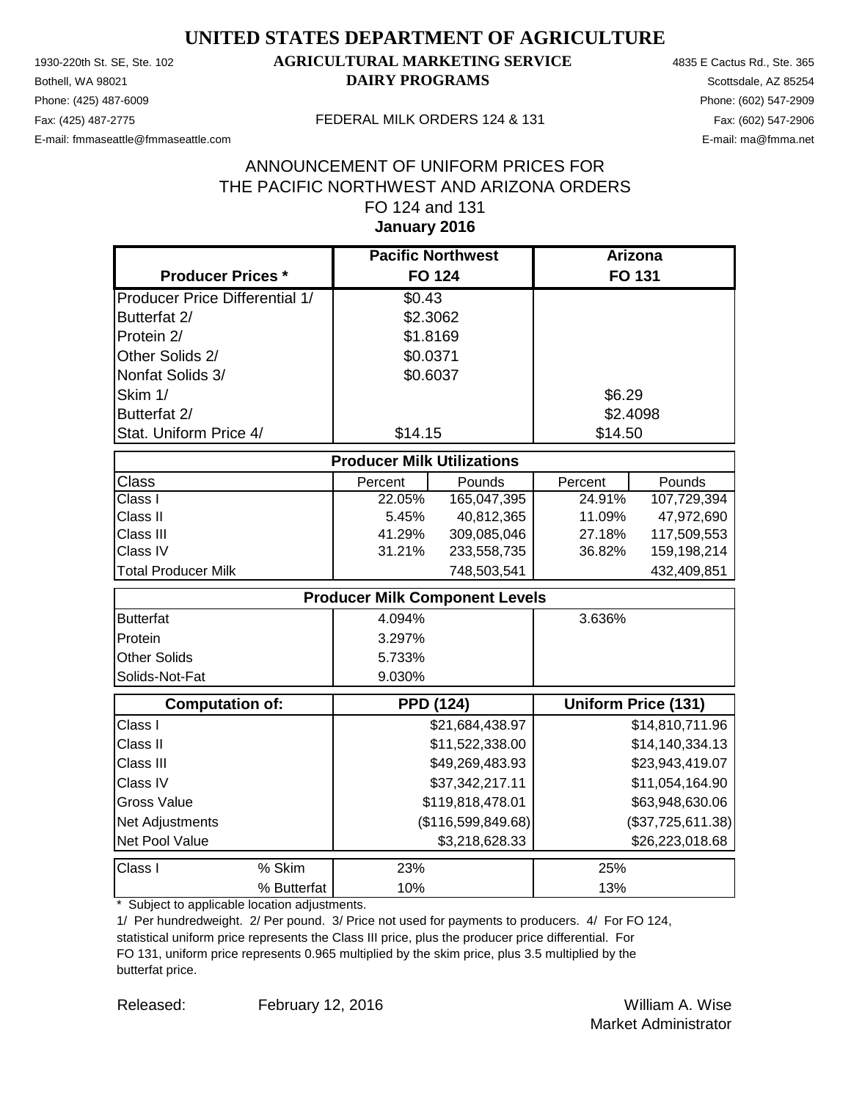Phone: (425) 487-6009 Phone: (602) 547-2909 E-mail: fmmaseattle@fmmaseattle.com E-mail: ma@fmma.net

### 1930-220th St. SE, Ste. 102 **AGRICULTURAL MARKETING SERVICE** 4835 E Cactus Rd., Ste. 365 **Bothell, WA 98021 DAIRY PROGRAMS** Scottsdale, AZ 85254

#### Fax: (425) 487-2775 FEDERAL MILK ORDERS 124 & 131

#### **January 2016** ANNOUNCEMENT OF UNIFORM PRICES FOR THE PACIFIC NORTHWEST AND ARIZONA ORDERS FO 124 and 131

|                                       | <b>Pacific Northwest</b>              |                    | Arizona  |                            |
|---------------------------------------|---------------------------------------|--------------------|----------|----------------------------|
| <b>Producer Prices *</b>              | <b>FO 124</b>                         |                    |          | <b>FO 131</b>              |
| <b>Producer Price Differential 1/</b> | \$0.43                                |                    |          |                            |
| Butterfat 2/                          | \$2.3062                              |                    |          |                            |
| Protein 2/                            | \$1.8169                              |                    |          |                            |
| Other Solids 2/                       | \$0.0371                              |                    |          |                            |
| Nonfat Solids 3/                      | \$0.6037                              |                    |          |                            |
| Skim 1/                               |                                       |                    | \$6.29   |                            |
| Butterfat 2/                          |                                       |                    | \$2.4098 |                            |
| Stat. Uniform Price 4/                | \$14.15                               |                    | \$14.50  |                            |
|                                       | <b>Producer Milk Utilizations</b>     |                    |          |                            |
| <b>Class</b>                          | Percent                               | Pounds             | Percent  | Pounds                     |
| Class I                               | 22.05%                                | 165,047,395        | 24.91%   | 107,729,394                |
| Class II                              | 5.45%                                 | 40,812,365         | 11.09%   | 47,972,690                 |
| Class III                             | 41.29%                                | 309,085,046        | 27.18%   | 117,509,553                |
| Class IV                              | 31.21%                                | 233,558,735        | 36.82%   | 159,198,214                |
| <b>Total Producer Milk</b>            |                                       | 748,503,541        |          | 432,409,851                |
|                                       | <b>Producer Milk Component Levels</b> |                    |          |                            |
| <b>Butterfat</b>                      | 4.094%                                |                    | 3.636%   |                            |
| Protein                               | 3.297%                                |                    |          |                            |
| <b>Other Solids</b>                   | 5.733%                                |                    |          |                            |
| Solids-Not-Fat                        | 9.030%                                |                    |          |                            |
| <b>Computation of:</b>                | <b>PPD (124)</b>                      |                    |          | <b>Uniform Price (131)</b> |
| Class I                               |                                       | \$21,684,438.97    |          | \$14,810,711.96            |
| Class II                              |                                       | \$11,522,338.00    |          | \$14,140,334.13            |
| Class III                             |                                       | \$49,269,483.93    |          | \$23,943,419.07            |
| Class IV                              |                                       | \$37,342,217.11    |          | \$11,054,164.90            |
| <b>Gross Value</b>                    |                                       | \$119,818,478.01   |          | \$63,948,630.06            |
| Net Adjustments                       |                                       | (\$116,599,849.68) |          | (\$37,725,611.38)          |
| Net Pool Value                        |                                       | \$3,218,628.33     |          | \$26,223,018.68            |
| % Skim<br>Class I                     | 23%                                   |                    | 25%      |                            |
| % Butterfat                           | 10%                                   |                    | 13%      |                            |

\* Subject to applicable location adjustments.

1/ Per hundredweight. 2/ Per pound. 3/ Price not used for payments to producers. 4/ For FO 124, statistical uniform price represents the Class III price, plus the producer price differential. For FO 131, uniform price represents 0.965 multiplied by the skim price, plus 3.5 multiplied by the butterfat price.

Released: William A. Wise February 12, 2016 Market Administrator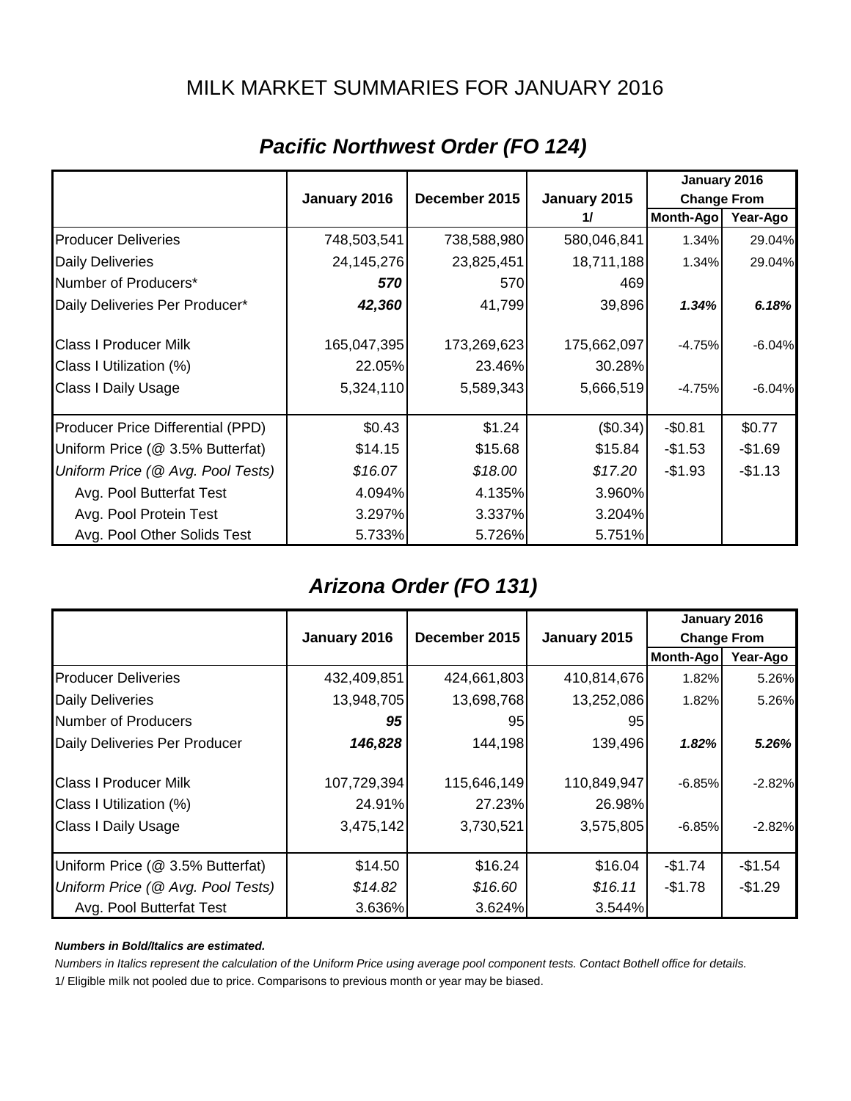### MILK MARKET SUMMARIES FOR JANUARY 2016

|                                   |              |               |              | January 2016       |          |
|-----------------------------------|--------------|---------------|--------------|--------------------|----------|
|                                   | January 2016 | December 2015 | January 2015 | <b>Change From</b> |          |
|                                   |              |               | 11           | Month-Ago          | Year-Ago |
| <b>Producer Deliveries</b>        | 748,503,541  | 738,588,980   | 580,046,841  | 1.34%              | 29.04%   |
| <b>Daily Deliveries</b>           | 24,145,276   | 23,825,451    | 18,711,188   | 1.34%              | 29.04%   |
| Number of Producers*              | 570          | 570           | 469          |                    |          |
| Daily Deliveries Per Producer*    | 42,360       | 41,799        | 39,896       | 1.34%              | 6.18%    |
| <b>Class I Producer Milk</b>      | 165,047,395  | 173,269,623   | 175,662,097  | $-4.75%$           | $-6.04%$ |
| Class I Utilization (%)           | 22.05%       | 23.46%        | 30.28%       |                    |          |
| Class I Daily Usage               | 5,324,110    | 5,589,343     | 5,666,519    | $-4.75%$           | $-6.04%$ |
| Producer Price Differential (PPD) | \$0.43       | \$1.24        | (\$0.34)     | $-$0.81$           | \$0.77   |
| Uniform Price (@ 3.5% Butterfat)  | \$14.15      | \$15.68       | \$15.84      | $-$1.53$           | $-$1.69$ |
| Uniform Price (@ Avg. Pool Tests) | \$16.07      | \$18.00       | \$17.20      | $-$1.93$           | $-$1.13$ |
| Avg. Pool Butterfat Test          | 4.094%       | 4.135%        | 3.960%       |                    |          |
| Avg. Pool Protein Test            | 3.297%       | 3.337%        | 3.204%       |                    |          |
| Avg. Pool Other Solids Test       | 5.733%       | 5.726%        | 5.751%       |                    |          |

### *Pacific Northwest Order (FO 124)*

### *Arizona Order (FO 131)*

|                                   |              |               |              | January 2016       |          |
|-----------------------------------|--------------|---------------|--------------|--------------------|----------|
|                                   | January 2016 | December 2015 | January 2015 | <b>Change From</b> |          |
|                                   |              |               |              | <b>Month-Ago</b>   | Year-Ago |
| <b>Producer Deliveries</b>        | 432,409,851  | 424,661,803   | 410,814,676  | 1.82%              | 5.26%    |
| <b>Daily Deliveries</b>           | 13,948,705   | 13,698,768    | 13,252,086   | 1.82%              | 5.26%    |
| Number of Producers               | 95           | 95            | 95           |                    |          |
| Daily Deliveries Per Producer     | 146,828      | 144,198       | 139,496      | 1.82%              | 5.26%    |
| <b>Class I Producer Milk</b>      | 107,729,394  | 115,646,149   | 110,849,947  | $-6.85%$           | $-2.82%$ |
| Class I Utilization (%)           | 24.91%       | 27.23%        | 26.98%       |                    |          |
| <b>Class I Daily Usage</b>        | 3,475,142    | 3,730,521     | 3,575,805    | $-6.85%$           | $-2.82%$ |
| Uniform Price (@ 3.5% Butterfat)  | \$14.50      | \$16.24       | \$16.04      | $-$1.74$           | $-$1.54$ |
| Uniform Price (@ Avg. Pool Tests) | \$14.82      | \$16.60       | \$16.11      | $-$1.78$           | $-$1.29$ |
| Avg. Pool Butterfat Test          | 3.636%       | 3.624%        | 3.544%       |                    |          |

#### *Numbers in Bold/Italics are estimated.*

*Numbers in Italics represent the calculation of the Uniform Price using average pool component tests. Contact Bothell office for details.*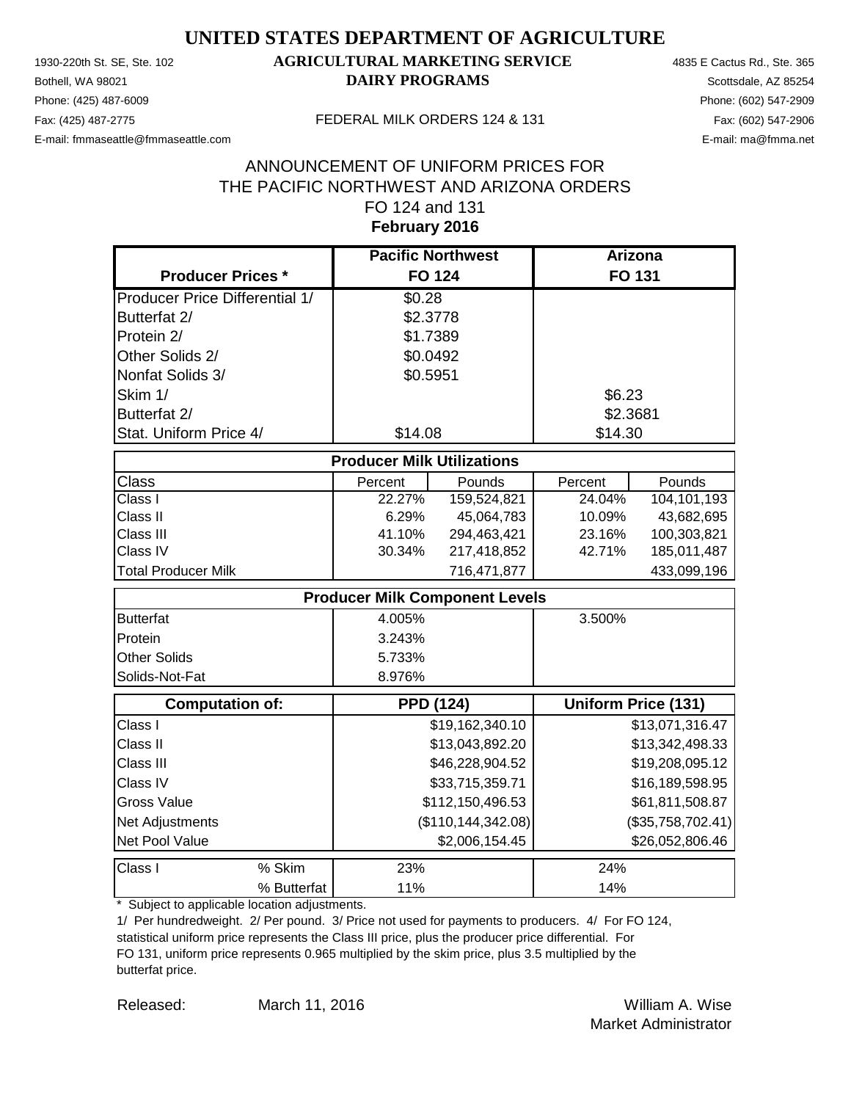Phone: (425) 487-6009 Phone: (602) 547-2909 E-mail: fmmaseattle@fmmaseattle.com E-mail: ma@fmma.net

#### 1930-220th St. SE, Ste. 102 **AGRICULTURAL MARKETING SERVICE** 4835 E Cactus Rd., Ste. 365 **Bothell, WA 98021 DAIRY PROGRAMS** Scottsdale, AZ 85254

#### Fax: (425) 487-2775 FEDERAL MILK ORDERS 124 & 131

#### **February 2016** ANNOUNCEMENT OF UNIFORM PRICES FOR THE PACIFIC NORTHWEST AND ARIZONA ORDERS FO 124 and 131

|                                       | <b>Pacific Northwest</b>              |                      |          | <b>Arizona</b>             |
|---------------------------------------|---------------------------------------|----------------------|----------|----------------------------|
| <b>Producer Prices *</b>              | <b>FO 124</b>                         |                      |          | FO 131                     |
| <b>Producer Price Differential 1/</b> | \$0.28                                |                      |          |                            |
| Butterfat 2/                          | \$2.3778                              |                      |          |                            |
| Protein 2/                            | \$1.7389                              |                      |          |                            |
| Other Solids 2/                       | \$0.0492                              |                      |          |                            |
| Nonfat Solids 3/                      | \$0.5951                              |                      |          |                            |
| Skim 1/                               |                                       |                      | \$6.23   |                            |
| Butterfat 2/                          |                                       |                      | \$2.3681 |                            |
| Stat. Uniform Price 4/                | \$14.08                               |                      | \$14.30  |                            |
|                                       | <b>Producer Milk Utilizations</b>     |                      |          |                            |
| <b>Class</b>                          | Percent                               | Pounds               | Percent  | Pounds                     |
| Class I                               | 22.27%                                | 159,524,821          | 24.04%   | 104,101,193                |
| Class II                              | 6.29%                                 | 45,064,783           | 10.09%   | 43,682,695                 |
| Class III                             | 41.10%                                | 294,463,421          | 23.16%   | 100,303,821                |
| Class IV                              | 30.34%                                | 217,418,852          | 42.71%   | 185,011,487                |
| <b>Total Producer Milk</b>            |                                       | 716,471,877          |          | 433,099,196                |
|                                       | <b>Producer Milk Component Levels</b> |                      |          |                            |
| <b>Butterfat</b>                      | 4.005%                                |                      | 3.500%   |                            |
| Protein                               | 3.243%                                |                      |          |                            |
| <b>Other Solids</b>                   | 5.733%                                |                      |          |                            |
| Solids-Not-Fat                        | 8.976%                                |                      |          |                            |
| <b>Computation of:</b>                | <b>PPD (124)</b>                      |                      |          | <b>Uniform Price (131)</b> |
| Class I                               |                                       | \$19,162,340.10      |          | \$13,071,316.47            |
| Class II                              |                                       | \$13,043,892.20      |          | \$13,342,498.33            |
| Class III                             |                                       | \$46,228,904.52      |          | \$19,208,095.12            |
| Class IV                              |                                       | \$33,715,359.71      |          | \$16,189,598.95            |
| <b>Gross Value</b>                    |                                       | \$112,150,496.53     |          | \$61,811,508.87            |
| Net Adjustments                       |                                       | (\$110, 144, 342.08) |          | (\$35,758,702.41)          |
| Net Pool Value                        |                                       | \$2,006,154.45       |          | \$26,052,806.46            |
| Class I<br>% Skim                     | 23%                                   |                      | 24%      |                            |
| % Butterfat                           | 11%                                   |                      | 14%      |                            |

\* Subject to applicable location adjustments.

1/ Per hundredweight. 2/ Per pound. 3/ Price not used for payments to producers. 4/ For FO 124, statistical uniform price represents the Class III price, plus the producer price differential. For FO 131, uniform price represents 0.965 multiplied by the skim price, plus 3.5 multiplied by the butterfat price.

Released: William A. Wise March 11, 2016 Market Administrator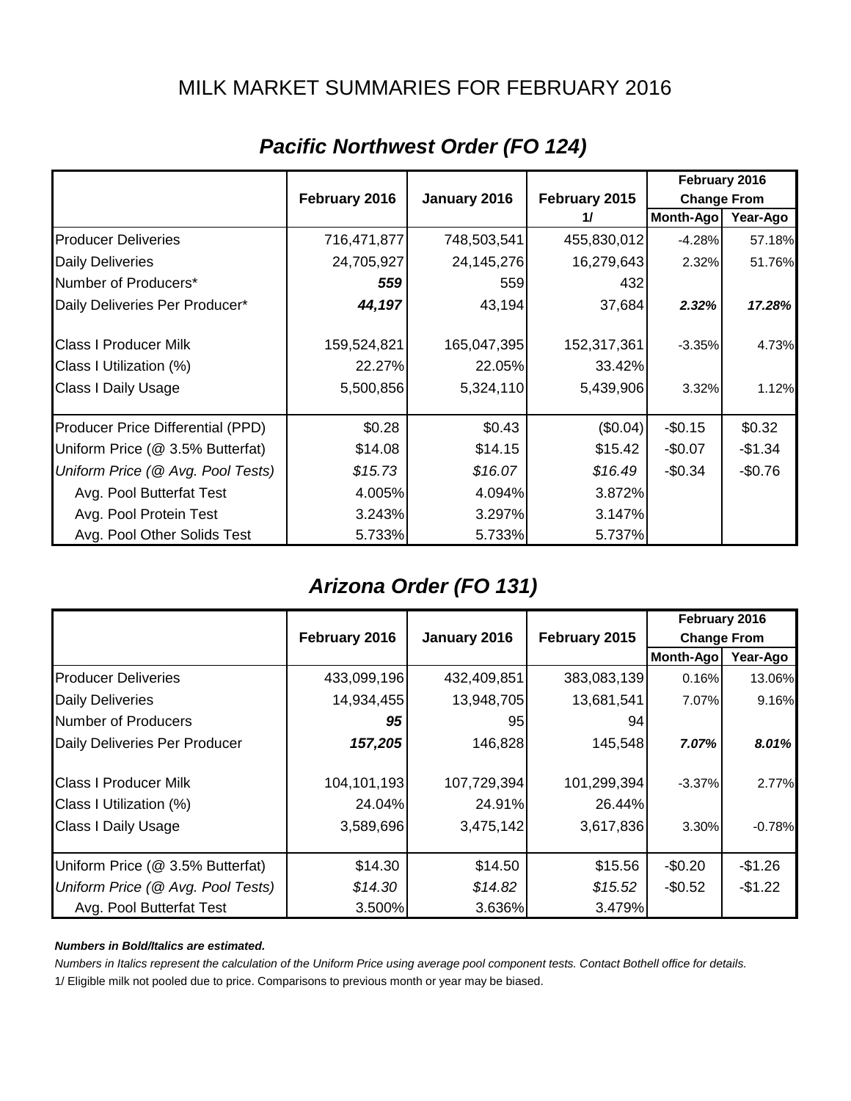### MILK MARKET SUMMARIES FOR FEBRUARY 2016

|                                   |               |              |               | February 2016      |          |
|-----------------------------------|---------------|--------------|---------------|--------------------|----------|
|                                   | February 2016 | January 2016 | February 2015 | <b>Change From</b> |          |
|                                   |               |              | 11            | Month-Ago          | Year-Ago |
| <b>Producer Deliveries</b>        | 716,471,877   | 748,503,541  | 455,830,012   | $-4.28%$           | 57.18%   |
| <b>Daily Deliveries</b>           | 24,705,927    | 24,145,276   | 16,279,643    | 2.32%              | 51.76%   |
| Number of Producers*              | 559           | 5591         | 432           |                    |          |
| Daily Deliveries Per Producer*    | 44,197        | 43,194       | 37,684        | 2.32%              | 17.28%   |
| <b>Class I Producer Milk</b>      | 159,524,821   | 165,047,395  | 152,317,361   | $-3.35%$           | 4.73%    |
| Class I Utilization (%)           | 22.27%        | 22.05%       | 33.42%        |                    |          |
| <b>Class I Daily Usage</b>        | 5,500,856     | 5,324,110    | 5,439,906     | 3.32%              | 1.12%    |
| Producer Price Differential (PPD) | \$0.28        | \$0.43       | (\$0.04)      | $-$0.15$           | \$0.32   |
| Uniform Price (@ 3.5% Butterfat)  | \$14.08       | \$14.15      | \$15.42       | $-$0.07$           | $-$1.34$ |
| Uniform Price (@ Avg. Pool Tests) | \$15.73       | \$16.07      | \$16.49       | $-$0.34$           | $-$0.76$ |
| Avg. Pool Butterfat Test          | 4.005%        | 4.094%       | 3.872%        |                    |          |
| Avg. Pool Protein Test            | 3.243%        | 3.297%       | 3.147%        |                    |          |
| Avg. Pool Other Solids Test       | 5.733%        | 5.733%       | 5.737%        |                    |          |

### *Pacific Northwest Order (FO 124)*

### *Arizona Order (FO 131)*

|                                   |               |              |               | February 2016      |          |
|-----------------------------------|---------------|--------------|---------------|--------------------|----------|
|                                   | February 2016 | January 2016 | February 2015 | <b>Change From</b> |          |
|                                   |               |              |               | <b>Month-Ago</b>   | Year-Ago |
| <b>Producer Deliveries</b>        | 433,099,196   | 432,409,851  | 383,083,139   | 0.16%              | 13.06%   |
| <b>Daily Deliveries</b>           | 14,934,455    | 13,948,705   | 13,681,541    | 7.07%              | 9.16%    |
| Number of Producers               | 95            | 95           | 94            |                    |          |
| Daily Deliveries Per Producer     | 157,205       | 146,828      | 145,548       | 7.07%              | 8.01%    |
| <b>Class I Producer Milk</b>      | 104,101,193   | 107,729,394  | 101,299,394   | $-3.37%$           | 2.77%    |
| Class I Utilization (%)           | 24.04%        | 24.91%       | 26.44%        |                    |          |
| <b>Class I Daily Usage</b>        | 3,589,696     | 3,475,142    | 3,617,836     | 3.30%              | $-0.78%$ |
| Uniform Price (@ 3.5% Butterfat)  | \$14.30       | \$14.50      | \$15.56       | $-$0.20$           | $-$1.26$ |
| Uniform Price (@ Avg. Pool Tests) | \$14.30       | \$14.82      | \$15.52       | $-$0.52$           | $-$1.22$ |
| Avg. Pool Butterfat Test          | 3.500%        | 3.636%       | 3.479%        |                    |          |

#### *Numbers in Bold/Italics are estimated.*

*Numbers in Italics represent the calculation of the Uniform Price using average pool component tests. Contact Bothell office for details.*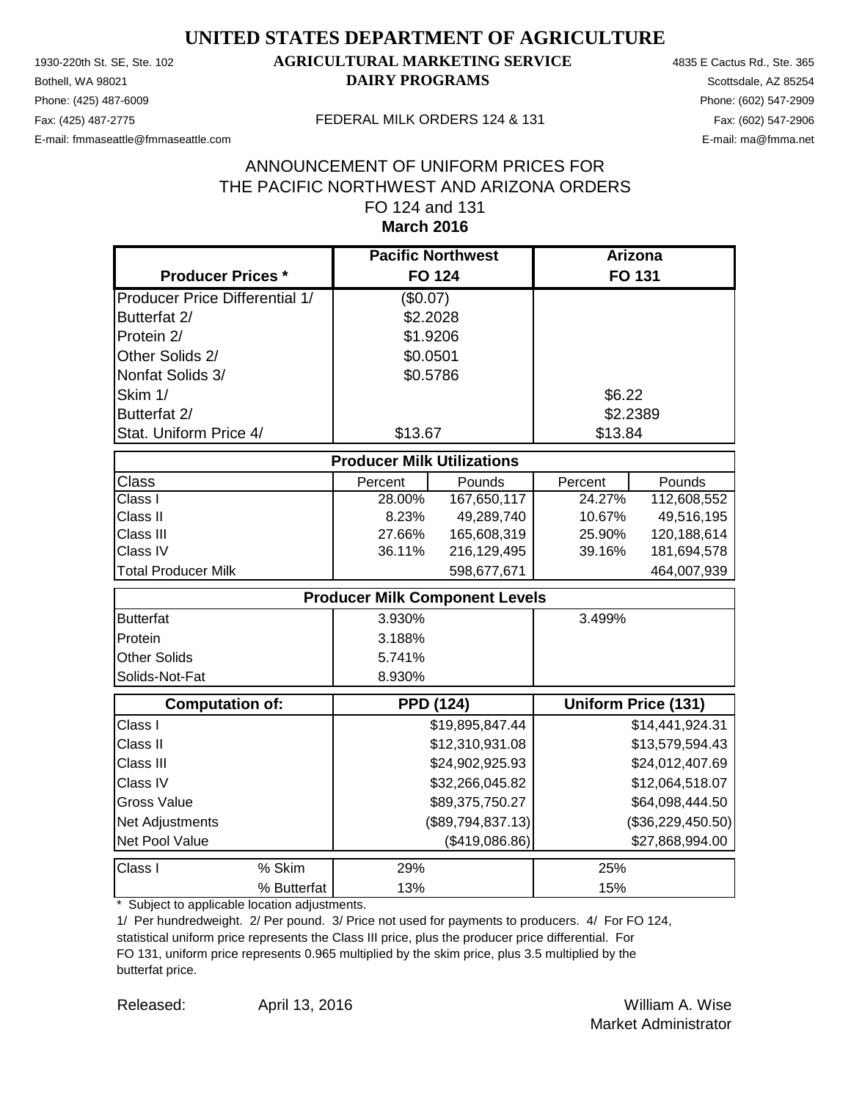Phone: (425) 487-6009 Phone: (602) 547-2909 E-mail: fmmaseattle@fmmaseattle.com E-mail: ma@fmma.net

### 1930-220th St. SE, Ste. 102 **AGRICULTURAL MARKETING SERVICE** 4835 E Cactus Rd., Ste. 365 **Bothell, WA 98021 DAIRY PROGRAMS** Scottsdale, AZ 85254

#### Fax: (425) 487-2775 FEDERAL MILK ORDERS 124 & 131

#### **March 2016** ANNOUNCEMENT OF UNIFORM PRICES FOR THE PACIFIC NORTHWEST AND ARIZONA ORDERS FO 124 and 131

|                                       | <b>Pacific Northwest</b>              |                   | <b>Arizona</b> |                            |
|---------------------------------------|---------------------------------------|-------------------|----------------|----------------------------|
| <b>Producer Prices *</b>              |                                       | <b>FO 124</b>     |                | <b>FO 131</b>              |
| <b>Producer Price Differential 1/</b> | (\$0.07)                              |                   |                |                            |
| Butterfat 2/                          | \$2.2028                              |                   |                |                            |
| Protein 2/                            | \$1.9206                              |                   |                |                            |
| Other Solids 2/                       | \$0.0501                              |                   |                |                            |
| Nonfat Solids 3/                      | \$0.5786                              |                   |                |                            |
| Skim 1/                               |                                       |                   | \$6.22         |                            |
| Butterfat 2/                          |                                       |                   |                | \$2.2389                   |
| Stat. Uniform Price 4/                | \$13.67                               |                   | \$13.84        |                            |
|                                       | <b>Producer Milk Utilizations</b>     |                   |                |                            |
| Class                                 | Percent                               | Pounds            | Percent        | Pounds                     |
| Class I                               | 28.00%                                | 167,650,117       | 24.27%         | 112,608,552                |
| Class II                              | 8.23%                                 | 49,289,740        | 10.67%         | 49,516,195                 |
| Class III                             | 27.66%                                | 165,608,319       | 25.90%         | 120,188,614                |
| Class IV                              | 36.11%                                | 216,129,495       | 39.16%         | 181,694,578                |
| <b>Total Producer Milk</b>            |                                       | 598,677,671       |                | 464,007,939                |
|                                       | <b>Producer Milk Component Levels</b> |                   |                |                            |
| <b>Butterfat</b>                      | 3.930%                                |                   | 3.499%         |                            |
| Protein                               | 3.188%                                |                   |                |                            |
| Other Solids                          | 5.741%                                |                   |                |                            |
| Solids-Not-Fat                        | 8.930%                                |                   |                |                            |
| <b>Computation of:</b>                | <b>PPD (124)</b>                      |                   |                | <b>Uniform Price (131)</b> |
| Class I                               |                                       | \$19,895,847.44   |                | \$14,441,924.31            |
| Class II                              |                                       | \$12,310,931.08   |                | \$13,579,594.43            |
| Class III                             |                                       | \$24,902,925.93   |                | \$24,012,407.69            |
| Class IV                              |                                       | \$32,266,045.82   |                | \$12,064,518.07            |
| <b>Gross Value</b>                    |                                       | \$89,375,750.27   |                | \$64,098,444.50            |
| Net Adjustments                       |                                       | (\$89,794,837.13) |                | (\$36,229,450.50)          |
| Net Pool Value                        |                                       | (\$419,086.86)    |                | \$27,868,994.00            |
| % Skim<br>Class I                     | 29%                                   |                   | 25%            |                            |
| % Butterfat                           | 13%                                   |                   | 15%            |                            |

\* Subject to applicable location adjustments.

1/ Per hundredweight. 2/ Per pound. 3/ Price not used for payments to producers. 4/ For FO 124, statistical uniform price represents the Class III price, plus the producer price differential. For FO 131, uniform price represents 0.965 multiplied by the skim price, plus 3.5 multiplied by the butterfat price.

Released: William A. Wise April 13, 2016 Market Administrator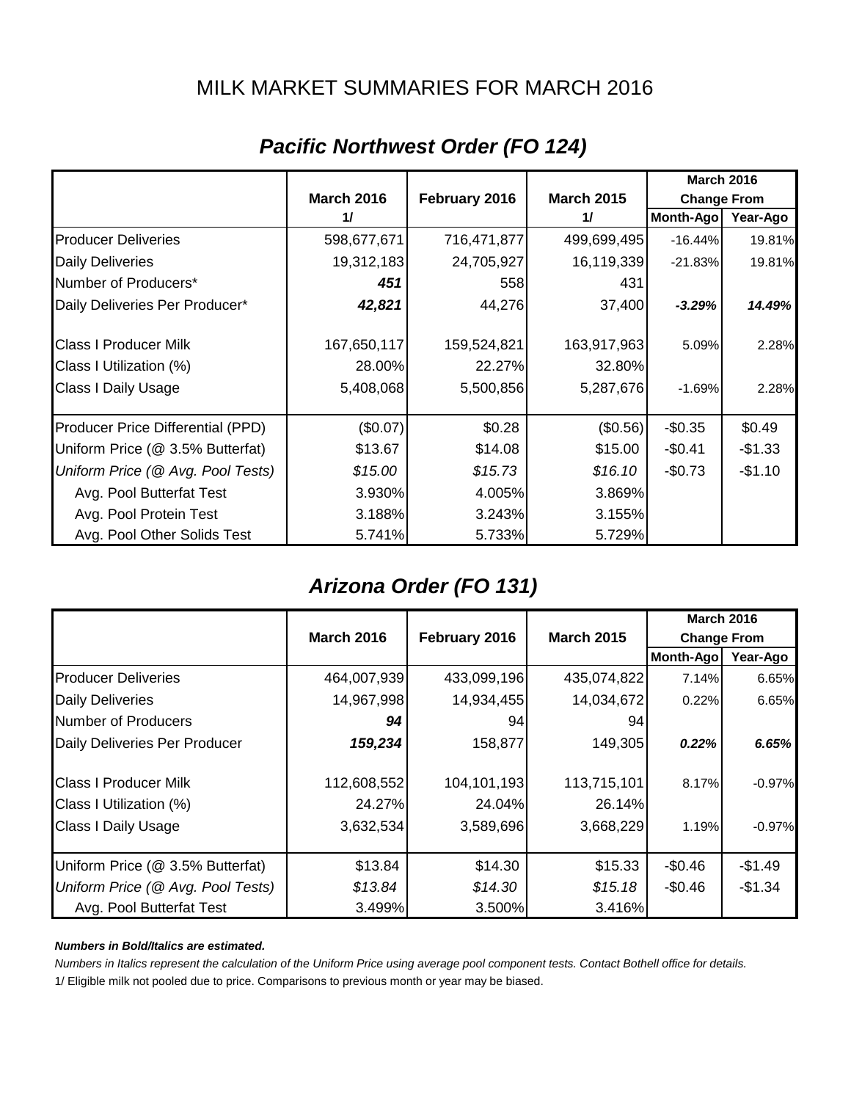### MILK MARKET SUMMARIES FOR MARCH 2016

|                                   |                   |               |                   |                    | <b>March 2016</b> |  |
|-----------------------------------|-------------------|---------------|-------------------|--------------------|-------------------|--|
|                                   | <b>March 2016</b> | February 2016 | <b>March 2015</b> | <b>Change From</b> |                   |  |
|                                   | 11                |               | 11                | Month-Ago          | Year-Ago          |  |
| <b>Producer Deliveries</b>        | 598,677,671       | 716,471,877   | 499,699,495       | $-16.44%$          | 19.81%            |  |
| <b>Daily Deliveries</b>           | 19,312,183        | 24,705,927    | 16,119,339        | $-21.83%$          | 19.81%            |  |
| Number of Producers*              | 451               | 5581          | 431               |                    |                   |  |
| Daily Deliveries Per Producer*    | 42,821            | 44,276        | 37,400            | $-3.29%$           | 14.49%            |  |
| <b>Class I Producer Milk</b>      | 167,650,117       | 159,524,821   | 163,917,963       | 5.09%              | 2.28%             |  |
| Class I Utilization (%)           | 28.00%            | 22.27%        | 32.80%            |                    |                   |  |
| Class I Daily Usage               | 5,408,068         | 5,500,856     | 5,287,676         | $-1.69%$           | 2.28%             |  |
| Producer Price Differential (PPD) | $(\$0.07)$        | \$0.28        | (\$0.56)          | $-$0.35$           | \$0.49            |  |
| Uniform Price (@ 3.5% Butterfat)  | \$13.67           | \$14.08       | \$15.00           | $-$0.41$           | $-$1.33$          |  |
| Uniform Price (@ Avg. Pool Tests) | \$15.00           | \$15.73       | \$16.10           | $-$0.73$           | $-$1.10$          |  |
| Avg. Pool Butterfat Test          | 3.930%            | 4.005%        | 3.869%            |                    |                   |  |
| Avg. Pool Protein Test            | 3.188%            | 3.243%        | 3.155%            |                    |                   |  |
| Avg. Pool Other Solids Test       | 5.741%            | 5.733%        | 5.729%            |                    |                   |  |

### *Pacific Northwest Order (FO 124)*

### *Arizona Order (FO 131)*

|                                   |                   |               |                   | <b>March 2016</b>  |          |
|-----------------------------------|-------------------|---------------|-------------------|--------------------|----------|
|                                   | <b>March 2016</b> | February 2016 | <b>March 2015</b> | <b>Change From</b> |          |
|                                   |                   |               |                   | <b>Month-Ago</b>   | Year-Ago |
| <b>Producer Deliveries</b>        | 464,007,939       | 433,099,196   | 435,074,822       | 7.14%              | 6.65%    |
| <b>Daily Deliveries</b>           | 14,967,998        | 14,934,455    | 14,034,672        | 0.22%              | 6.65%    |
| Number of Producers               | 94                | 94            | 94                |                    |          |
| Daily Deliveries Per Producer     | 159,234           | 158,877       | 149,305           | 0.22%              | 6.65%    |
| <b>Class I Producer Milk</b>      | 112,608,552       | 104,101,193   | 113,715,101       | 8.17%              | $-0.97%$ |
| Class I Utilization (%)           | 24.27%            | 24.04%        | 26.14%            |                    |          |
| <b>Class I Daily Usage</b>        | 3,632,534         | 3,589,696     | 3,668,229         | 1.19%              | $-0.97%$ |
| Uniform Price (@ 3.5% Butterfat)  | \$13.84           | \$14.30       | \$15.33           | $-$0.46$           | $-$1.49$ |
| Uniform Price (@ Avg. Pool Tests) | \$13.84           | \$14.30       | \$15.18           | $-$0.46$           | $-$1.34$ |
| Avg. Pool Butterfat Test          | 3.499%            | 3.500%        | 3.416%            |                    |          |

#### *Numbers in Bold/Italics are estimated.*

*Numbers in Italics represent the calculation of the Uniform Price using average pool component tests. Contact Bothell office for details.*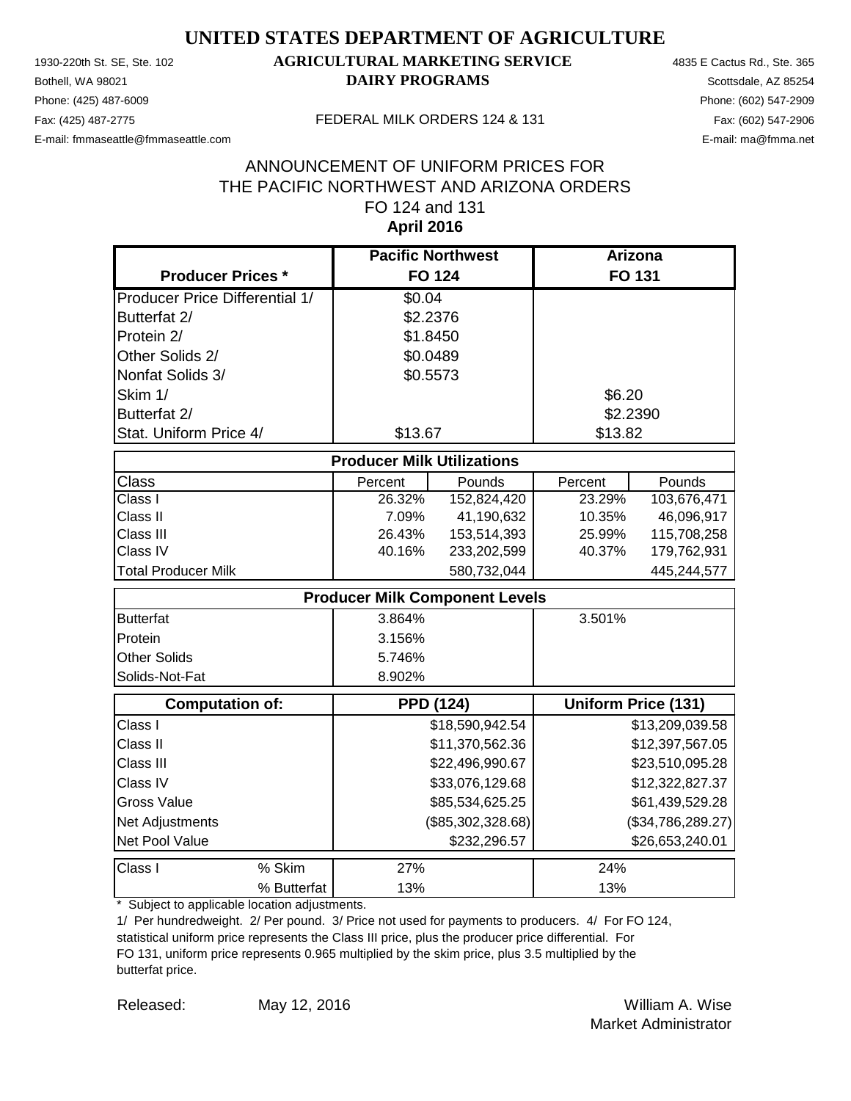Phone: (425) 487-6009 Phone: (602) 547-2909 E-mail: fmmaseattle@fmmaseattle.com E-mail: ma@fmma.net

### 1930-220th St. SE, Ste. 102 **AGRICULTURAL MARKETING SERVICE** 4835 E Cactus Rd., Ste. 365 **Bothell, WA 98021 DAIRY PROGRAMS** Scottsdale, AZ 85254

#### Fax: (425) 487-2775 FEDERAL MILK ORDERS 124 & 131

#### **April 2016** ANNOUNCEMENT OF UNIFORM PRICES FOR THE PACIFIC NORTHWEST AND ARIZONA ORDERS FO 124 and 131

|                                       |                                       | <b>Pacific Northwest</b> |         | Arizona                    |
|---------------------------------------|---------------------------------------|--------------------------|---------|----------------------------|
| <b>Producer Prices *</b>              |                                       | <b>FO 124</b>            |         | <b>FO 131</b>              |
| <b>Producer Price Differential 1/</b> | \$0.04                                |                          |         |                            |
| Butterfat 2/                          |                                       | \$2.2376                 |         |                            |
| Protein 2/                            |                                       | \$1.8450                 |         |                            |
| Other Solids 2/                       |                                       | \$0.0489                 |         |                            |
| Nonfat Solids 3/                      |                                       | \$0.5573                 |         |                            |
| Skim 1/                               |                                       |                          | \$6.20  |                            |
| Butterfat 2/                          |                                       |                          |         | \$2.2390                   |
| Stat. Uniform Price 4/                | \$13.67                               |                          | \$13.82 |                            |
|                                       | <b>Producer Milk Utilizations</b>     |                          |         |                            |
| Class                                 | Percent                               | Pounds                   | Percent | Pounds                     |
| Class I                               | 26.32%                                | 152,824,420              | 23.29%  | 103,676,471                |
| Class II                              | 7.09%                                 | 41,190,632               | 10.35%  | 46,096,917                 |
| Class III                             | 26.43%                                | 153,514,393              | 25.99%  | 115,708,258                |
| Class IV                              | 40.16%                                | 233,202,599              | 40.37%  | 179,762,931                |
| <b>Total Producer Milk</b>            |                                       | 580,732,044              |         | 445,244,577                |
|                                       | <b>Producer Milk Component Levels</b> |                          |         |                            |
| <b>Butterfat</b>                      | 3.864%                                |                          | 3.501%  |                            |
| Protein                               | 3.156%                                |                          |         |                            |
| Other Solids                          | 5.746%                                |                          |         |                            |
| Solids-Not-Fat                        | 8.902%                                |                          |         |                            |
| <b>Computation of:</b>                |                                       | <b>PPD (124)</b>         |         | <b>Uniform Price (131)</b> |
| Class I                               |                                       | \$18,590,942.54          |         | \$13,209,039.58            |
| Class II                              |                                       | \$11,370,562.36          |         | \$12,397,567.05            |
| Class III                             |                                       | \$22,496,990.67          |         | \$23,510,095.28            |
| Class IV                              |                                       | \$33,076,129.68          |         | \$12,322,827.37            |
| <b>Gross Value</b>                    |                                       | \$85,534,625.25          |         | \$61,439,529.28            |
| Net Adjustments                       |                                       | (\$85,302,328.68)        |         | (\$34,786,289.27)          |
| Net Pool Value                        |                                       | \$232,296.57             |         | \$26,653,240.01            |
| % Skim<br>Class I                     | 27%                                   |                          | 24%     |                            |
| % Butterfat                           | 13%                                   |                          | 13%     |                            |

\* Subject to applicable location adjustments.

1/ Per hundredweight. 2/ Per pound. 3/ Price not used for payments to producers. 4/ For FO 124, statistical uniform price represents the Class III price, plus the producer price differential. For FO 131, uniform price represents 0.965 multiplied by the skim price, plus 3.5 multiplied by the butterfat price.

Released: William A. Wise May 12, 2016 Market Administrator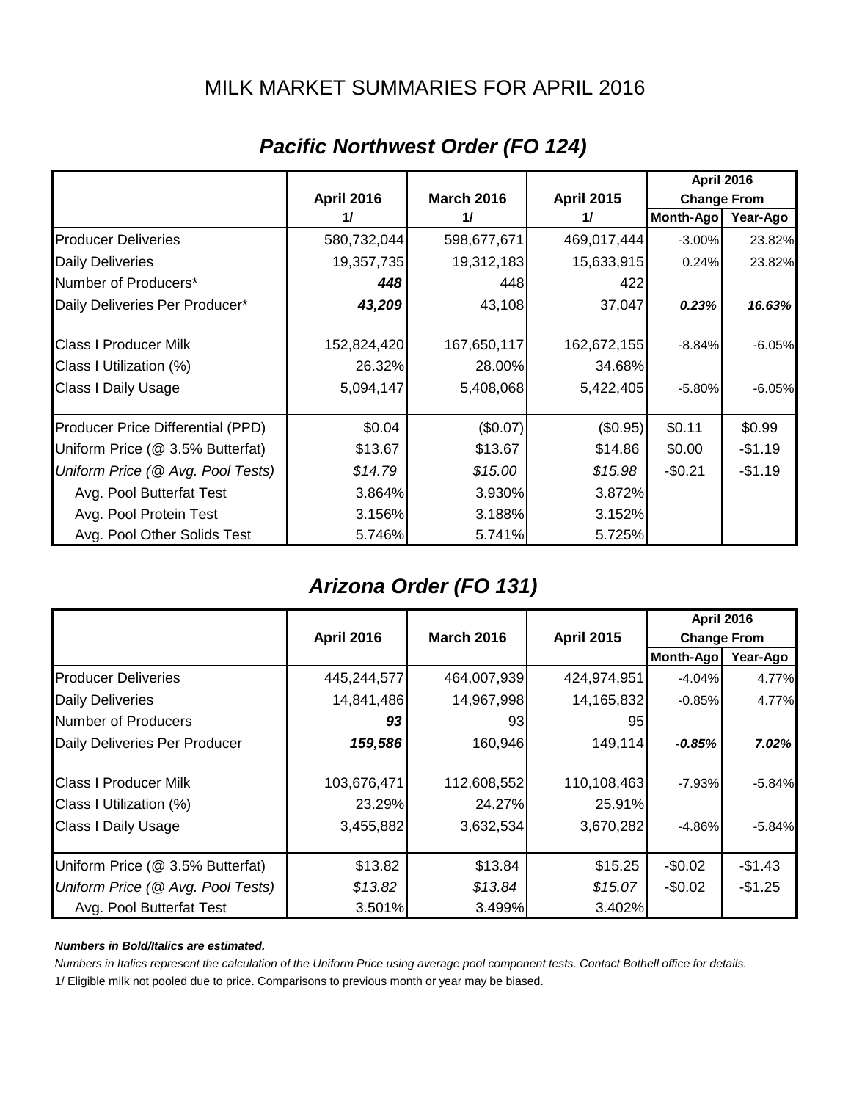### MILK MARKET SUMMARIES FOR APRIL 2016

|                                   |                   |                   |                   | <b>April 2016</b>  |          |
|-----------------------------------|-------------------|-------------------|-------------------|--------------------|----------|
|                                   | <b>April 2016</b> | <b>March 2016</b> | <b>April 2015</b> | <b>Change From</b> |          |
|                                   | 11                | 11                | 11                | Month-Ago          | Year-Ago |
| <b>Producer Deliveries</b>        | 580,732,044       | 598,677,671       | 469,017,444       | $-3.00\%$          | 23.82%   |
| <b>Daily Deliveries</b>           | 19,357,735        | 19,312,183        | 15,633,915        | 0.24%              | 23.82%   |
| Number of Producers*              | 448               | 448               | 422               |                    |          |
| Daily Deliveries Per Producer*    | 43,209            | 43,108            | 37,047            | 0.23%              | 16.63%   |
| <b>Class I Producer Milk</b>      | 152,824,420       | 167,650,117       | 162,672,155       | $-8.84%$           | $-6.05%$ |
| Class I Utilization (%)           | 26.32%            | 28.00%            | 34.68%            |                    |          |
| <b>Class I Daily Usage</b>        | 5,094,147         | 5,408,068         | 5,422,405         | $-5.80\%$          | $-6.05%$ |
| Producer Price Differential (PPD) | \$0.04            | (\$0.07)          | (\$0.95)          | \$0.11             | \$0.99   |
| Uniform Price (@ 3.5% Butterfat)  | \$13.67           | \$13.67           | \$14.86           | \$0.00             | $-$1.19$ |
| Uniform Price (@ Avg. Pool Tests) | \$14.79           | \$15.00           | \$15.98           | $-$0.21$           | $-$1.19$ |
| Avg. Pool Butterfat Test          | 3.864%            | 3.930%            | 3.872%            |                    |          |
| Avg. Pool Protein Test            | 3.156%            | 3.188%            | 3.152%            |                    |          |
| Avg. Pool Other Solids Test       | 5.746%            | 5.741%            | 5.725%            |                    |          |

### *Pacific Northwest Order (FO 124)*

### *Arizona Order (FO 131)*

|                                   |                   |                   |                   | <b>April 2016</b>  |          |
|-----------------------------------|-------------------|-------------------|-------------------|--------------------|----------|
|                                   | <b>April 2016</b> | <b>March 2016</b> | <b>April 2015</b> | <b>Change From</b> |          |
|                                   |                   |                   |                   | Month-Ago          | Year-Ago |
| <b>Producer Deliveries</b>        | 445,244,577       | 464,007,939       | 424,974,951       | $-4.04%$           | 4.77%    |
| <b>Daily Deliveries</b>           | 14,841,486        | 14,967,998        | 14,165,832        | $-0.85%$           | 4.77%    |
| Number of Producers               | 93                | 931               | 95                |                    |          |
| Daily Deliveries Per Producer     | 159,586           | 160,946           | 149,114           | $-0.85%$           | 7.02%    |
| <b>Class I Producer Milk</b>      | 103,676,471       | 112,608,552       | 110,108,463       | $-7.93%$           | $-5.84%$ |
| Class I Utilization (%)           | 23.29%            | 24.27%            | 25.91%            |                    |          |
| <b>Class I Daily Usage</b>        | 3,455,882         | 3,632,534         | 3,670,282         | $-4.86%$           | $-5.84%$ |
| Uniform Price (@ 3.5% Butterfat)  | \$13.82           | \$13.84           | \$15.25           | $-$0.02$           | $-$1.43$ |
| Uniform Price (@ Avg. Pool Tests) | \$13.82           | \$13.84           | \$15.07           | $-$0.02$           | $-$1.25$ |
| Avg. Pool Butterfat Test          | 3.501%            | 3.499%            | 3.402%            |                    |          |

#### *Numbers in Bold/Italics are estimated.*

*Numbers in Italics represent the calculation of the Uniform Price using average pool component tests. Contact Bothell office for details.*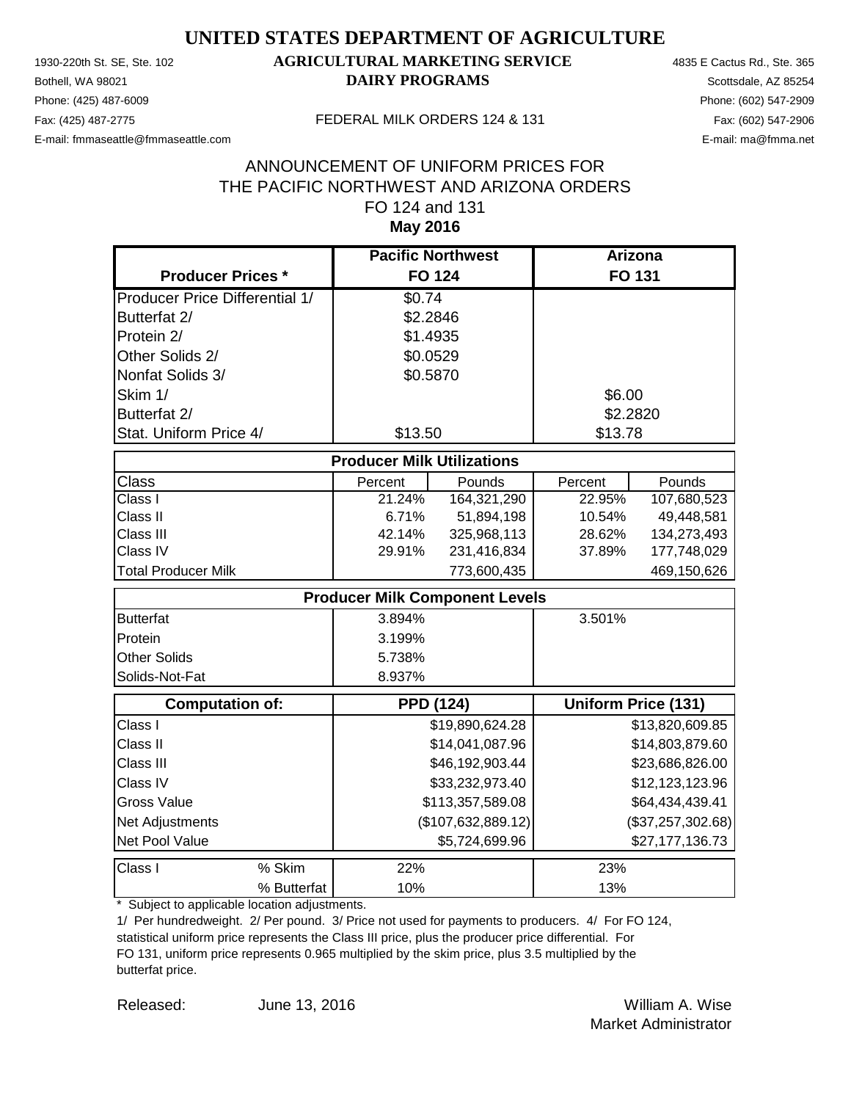Phone: (425) 487-6009 Phone: (602) 547-2909 E-mail: fmmaseattle@fmmaseattle.com E-mail: ma@fmma.net

### 1930-220th St. SE, Ste. 102 **AGRICULTURAL MARKETING SERVICE** 4835 E Cactus Rd., Ste. 365 **Bothell, WA 98021 DAIRY PROGRAMS** Scottsdale, AZ 85254

#### Fax: (425) 487-2775 FEDERAL MILK ORDERS 124 & 131

#### **May 2016** ANNOUNCEMENT OF UNIFORM PRICES FOR THE PACIFIC NORTHWEST AND ARIZONA ORDERS FO 124 and 131

|                                       | <b>Pacific Northwest</b>              |                    |          | <b>Arizona</b>             |
|---------------------------------------|---------------------------------------|--------------------|----------|----------------------------|
| <b>Producer Prices *</b>              |                                       | <b>FO 124</b>      |          | FO 131                     |
| <b>Producer Price Differential 1/</b> | \$0.74                                |                    |          |                            |
| Butterfat 2/                          | \$2.2846                              |                    |          |                            |
| Protein 2/                            | \$1.4935                              |                    |          |                            |
| Other Solids 2/                       | \$0.0529                              |                    |          |                            |
| Nonfat Solids 3/                      | \$0.5870                              |                    |          |                            |
| Skim 1/                               |                                       |                    | \$6.00   |                            |
| Butterfat 2/                          |                                       |                    | \$2.2820 |                            |
| Stat. Uniform Price 4/                | \$13.50                               |                    | \$13.78  |                            |
|                                       | <b>Producer Milk Utilizations</b>     |                    |          |                            |
| Class                                 | Percent                               | Pounds             | Percent  | Pounds                     |
| Class I                               | 21.24%                                | 164,321,290        | 22.95%   | 107,680,523                |
| Class II                              | 6.71%                                 | 51,894,198         | 10.54%   | 49,448,581                 |
| Class III                             | 42.14%                                | 325,968,113        | 28.62%   | 134,273,493                |
| Class IV                              | 29.91%                                | 231,416,834        | 37.89%   | 177,748,029                |
| <b>Total Producer Milk</b>            |                                       | 773,600,435        |          | 469,150,626                |
|                                       | <b>Producer Milk Component Levels</b> |                    |          |                            |
| <b>Butterfat</b>                      | 3.894%                                |                    | 3.501%   |                            |
| Protein                               | 3.199%                                |                    |          |                            |
| Other Solids                          | 5.738%                                |                    |          |                            |
| Solids-Not-Fat                        | 8.937%                                |                    |          |                            |
| <b>Computation of:</b>                | <b>PPD (124)</b>                      |                    |          | <b>Uniform Price (131)</b> |
| Class I                               |                                       | \$19,890,624.28    |          | \$13,820,609.85            |
| Class II                              |                                       | \$14,041,087.96    |          | \$14,803,879.60            |
| Class III                             |                                       | \$46,192,903.44    |          | \$23,686,826.00            |
| Class IV                              |                                       | \$33,232,973.40    |          | \$12,123,123.96            |
| <b>Gross Value</b>                    |                                       | \$113,357,589.08   |          | \$64,434,439.41            |
| Net Adjustments                       |                                       | (\$107,632,889.12) |          | (\$37,257,302.68)          |
| Net Pool Value                        |                                       | \$5,724,699.96     |          | \$27,177,136.73            |
| % Skim<br>Class I                     | 22%                                   |                    | 23%      |                            |
| % Butterfat                           | 10%                                   |                    | 13%      |                            |

\* Subject to applicable location adjustments.

1/ Per hundredweight. 2/ Per pound. 3/ Price not used for payments to producers. 4/ For FO 124, statistical uniform price represents the Class III price, plus the producer price differential. For FO 131, uniform price represents 0.965 multiplied by the skim price, plus 3.5 multiplied by the butterfat price.

Released: William A. Wise June 13, 2016 Market Administrator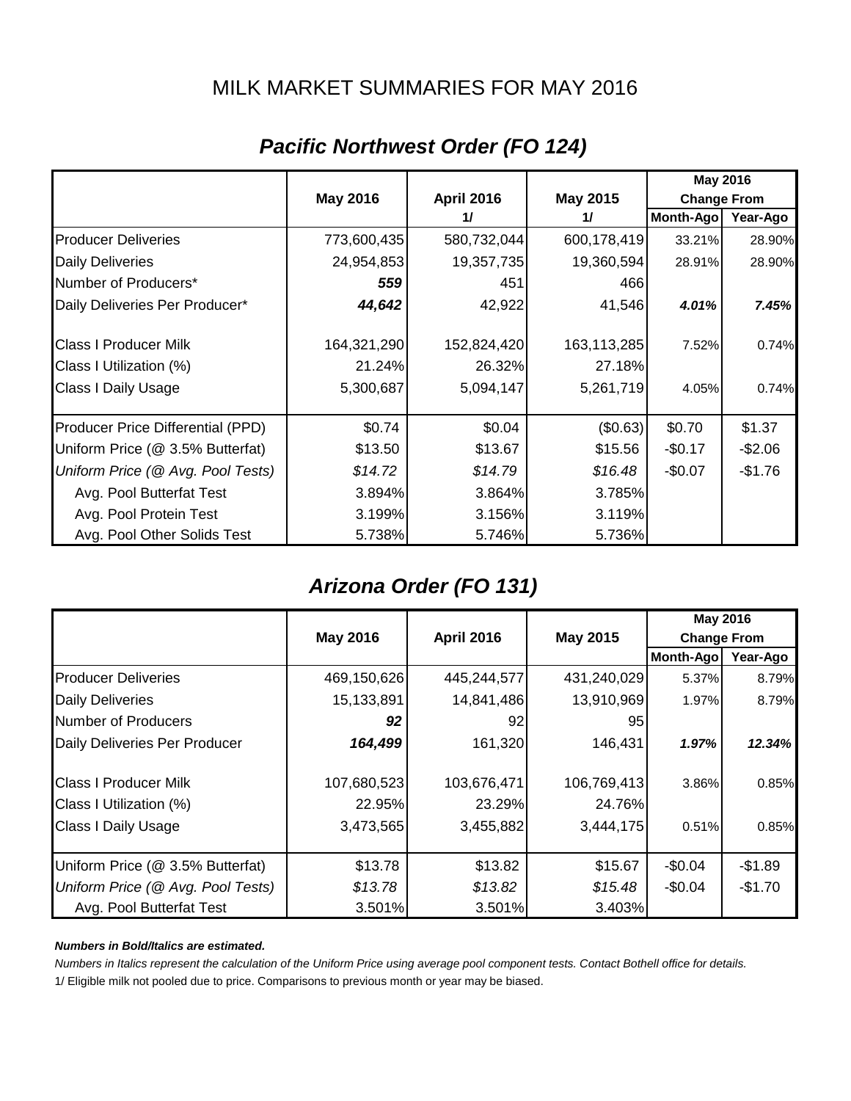### MILK MARKET SUMMARIES FOR MAY 2016

|                                   |                 |                   |             | <b>May 2016</b>    |          |
|-----------------------------------|-----------------|-------------------|-------------|--------------------|----------|
|                                   | <b>May 2016</b> | <b>April 2016</b> | May 2015    | <b>Change From</b> |          |
|                                   |                 | 11                | 11          | <b>Month-Ago</b>   | Year-Ago |
| <b>Producer Deliveries</b>        | 773,600,435     | 580,732,044       | 600,178,419 | 33.21%             | 28.90%   |
| <b>Daily Deliveries</b>           | 24,954,853      | 19,357,735        | 19,360,594  | 28.91%             | 28.90%   |
| Number of Producers*              | 559             | 451               | 466         |                    |          |
| Daily Deliveries Per Producer*    | 44,642          | 42,922            | 41,546      | 4.01%              | 7.45%    |
| <b>Class I Producer Milk</b>      | 164,321,290     | 152,824,420       | 163,113,285 | 7.52%              | 0.74%    |
| Class I Utilization (%)           | 21.24%          | 26.32%            | 27.18%      |                    |          |
| Class I Daily Usage               | 5,300,687       | 5,094,147         | 5,261,719   | 4.05%              | 0.74%    |
| Producer Price Differential (PPD) | \$0.74          | \$0.04            | (\$0.63)    | \$0.70             | \$1.37   |
| Uniform Price (@ 3.5% Butterfat)  | \$13.50         | \$13.67           | \$15.56     | $-$0.17$           | $-$2.06$ |
| Uniform Price (@ Avg. Pool Tests) | \$14.72         | \$14.79           | \$16.48     | $-$0.07$           | $-$1.76$ |
| Avg. Pool Butterfat Test          | 3.894%          | 3.864%            | 3.785%      |                    |          |
| Avg. Pool Protein Test            | 3.199%          | 3.156%            | 3.119%      |                    |          |
| Avg. Pool Other Solids Test       | 5.738%          | 5.746%            | 5.736%      |                    |          |

### *Pacific Northwest Order (FO 124)*

### *Arizona Order (FO 131)*

|                                   |                 |                                                            |             |                  | <b>May 2016</b> |
|-----------------------------------|-----------------|------------------------------------------------------------|-------------|------------------|-----------------|
|                                   | <b>May 2016</b> | <b>May 2015</b><br><b>April 2016</b><br><b>Change From</b> |             |                  |                 |
|                                   |                 |                                                            |             | <b>Month-Ago</b> | Year-Ago        |
| <b>Producer Deliveries</b>        | 469,150,626     | 445,244,577                                                | 431,240,029 | 5.37%            | 8.79%           |
| <b>Daily Deliveries</b>           | 15,133,891      | 14,841,486                                                 | 13,910,969  | 1.97%            | 8.79%           |
| Number of Producers               | 92              | 92                                                         | 95          |                  |                 |
| Daily Deliveries Per Producer     | 164,499         | 161,320                                                    | 146,431     | 1.97%            | 12.34%          |
| <b>Class I Producer Milk</b>      | 107,680,523     | 103,676,471                                                | 106,769,413 | 3.86%            | 0.85%           |
| Class I Utilization (%)           | 22.95%          | 23.29%                                                     | 24.76%      |                  |                 |
| <b>Class I Daily Usage</b>        | 3,473,565       | 3,455,882                                                  | 3,444,175   | 0.51%            | 0.85%           |
| Uniform Price (@ 3.5% Butterfat)  | \$13.78         | \$13.82                                                    | \$15.67     | $-$0.04$         | $-$1.89$        |
| Uniform Price (@ Avg. Pool Tests) | \$13.78         | \$13.82                                                    | \$15.48     | $-$0.04$         | $-$1.70$        |
| Avg. Pool Butterfat Test          | 3.501%          | 3.501%                                                     | 3.403%      |                  |                 |

#### *Numbers in Bold/Italics are estimated.*

*Numbers in Italics represent the calculation of the Uniform Price using average pool component tests. Contact Bothell office for details.*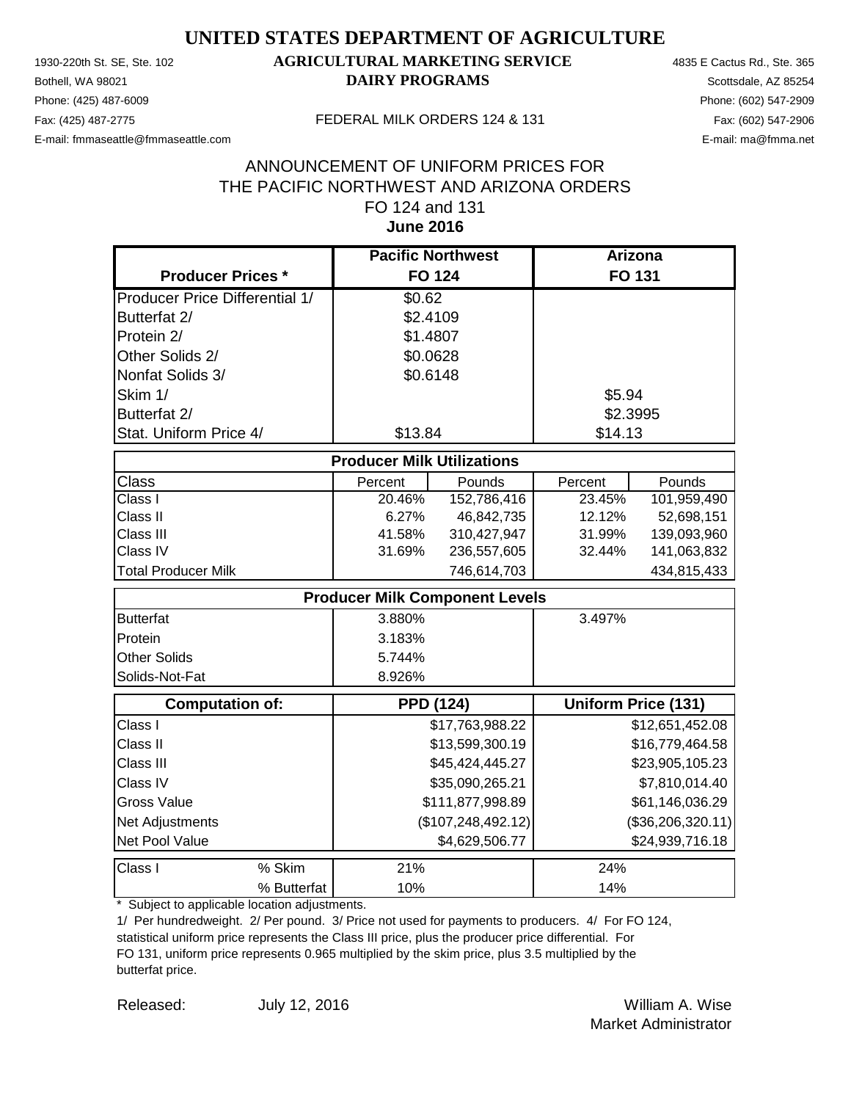Phone: (425) 487-6009 Phone: (602) 547-2909 E-mail: fmmaseattle@fmmaseattle.com E-mail: ma@fmma.net

### 1930-220th St. SE, Ste. 102 **AGRICULTURAL MARKETING SERVICE** 4835 E Cactus Rd., Ste. 365 **Bothell, WA 98021 DAIRY PROGRAMS** Scottsdale, AZ 85254

#### Fax: (425) 487-2775 FEDERAL MILK ORDERS 124 & 131

#### **June 2016** ANNOUNCEMENT OF UNIFORM PRICES FOR THE PACIFIC NORTHWEST AND ARIZONA ORDERS FO 124 and 131

|                                       | <b>Pacific Northwest</b>              |                      | <b>Arizona</b>       |                            |
|---------------------------------------|---------------------------------------|----------------------|----------------------|----------------------------|
| <b>Producer Prices *</b>              |                                       | <b>FO 124</b>        |                      | FO 131                     |
| <b>Producer Price Differential 1/</b> | \$0.62                                |                      |                      |                            |
| Butterfat 2/                          | \$2.4109                              |                      |                      |                            |
| Protein 2/                            | \$1.4807                              |                      |                      |                            |
| Other Solids 2/                       | \$0.0628                              |                      |                      |                            |
| Nonfat Solids 3/                      | \$0.6148                              |                      |                      |                            |
| Skim 1/                               |                                       |                      | \$5.94               |                            |
| Butterfat 2/                          |                                       |                      | \$2.3995             |                            |
| Stat. Uniform Price 4/                | \$13.84                               |                      | \$14.13              |                            |
|                                       | <b>Producer Milk Utilizations</b>     |                      |                      |                            |
| Class                                 |                                       | Pounds               |                      | Pounds                     |
| Class I                               | Percent<br>20.46%                     | 152,786,416          | Percent<br>$23.45\%$ | 101,959,490                |
| Class II                              | 6.27%                                 | 46,842,735           | 12.12%               | 52,698,151                 |
| Class III                             | 41.58%                                | 310,427,947          | 31.99%               | 139,093,960                |
| Class IV                              | 31.69%                                | 236,557,605          | 32.44%               | 141,063,832                |
| <b>Total Producer Milk</b>            |                                       | 746,614,703          |                      | 434,815,433                |
|                                       | <b>Producer Milk Component Levels</b> |                      |                      |                            |
| <b>Butterfat</b>                      | 3.880%                                |                      | 3.497%               |                            |
| Protein                               | 3.183%                                |                      |                      |                            |
| <b>Other Solids</b>                   | 5.744%                                |                      |                      |                            |
| Solids-Not-Fat                        | 8.926%                                |                      |                      |                            |
| <b>Computation of:</b>                |                                       | <b>PPD (124)</b>     |                      | <b>Uniform Price (131)</b> |
| Class I                               |                                       | \$17,763,988.22      |                      | \$12,651,452.08            |
| Class II                              |                                       | \$13,599,300.19      |                      | \$16,779,464.58            |
| Class III                             |                                       | \$45,424,445.27      |                      | \$23,905,105.23            |
| Class IV                              |                                       | \$35,090,265.21      |                      | \$7,810,014.40             |
| <b>Gross Value</b>                    |                                       | \$111,877,998.89     |                      | \$61,146,036.29            |
| Net Adjustments                       |                                       | (\$107, 248, 492.12) |                      | (\$36,206,320.11)          |
| Net Pool Value                        |                                       | \$4,629,506.77       |                      | \$24,939,716.18            |
| % Skim<br>Class I                     | 21%                                   |                      | 24%                  |                            |
| % Butterfat                           | 10%                                   |                      | 14%                  |                            |

\* Subject to applicable location adjustments.

1/ Per hundredweight. 2/ Per pound. 3/ Price not used for payments to producers. 4/ For FO 124, statistical uniform price represents the Class III price, plus the producer price differential. For FO 131, uniform price represents 0.965 multiplied by the skim price, plus 3.5 multiplied by the butterfat price.

Released: William A. Wise July 12, 2016 Market Administrator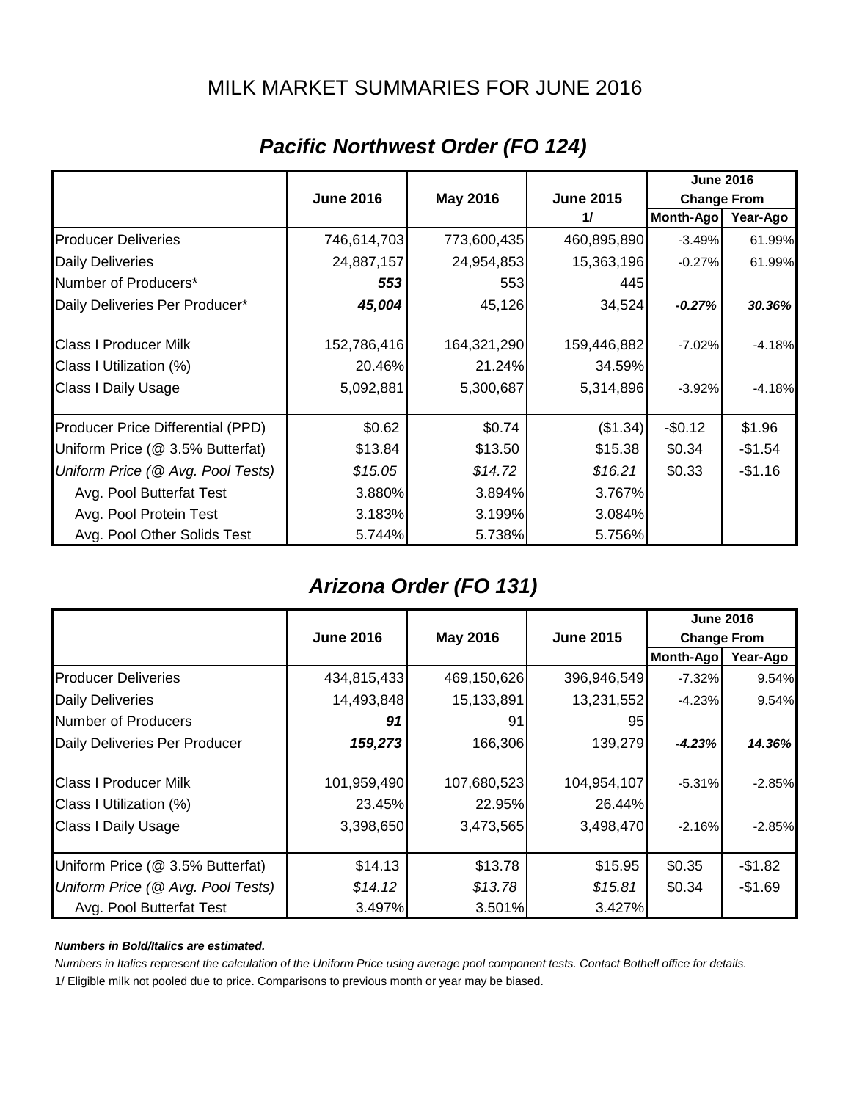### MILK MARKET SUMMARIES FOR JUNE 2016

|                                   |                  |                 |                  | <b>June 2016</b>   |          |
|-----------------------------------|------------------|-----------------|------------------|--------------------|----------|
|                                   | <b>June 2016</b> | <b>May 2016</b> | <b>June 2015</b> | <b>Change From</b> |          |
|                                   |                  |                 | 11               | Month-Ago          | Year-Ago |
| <b>Producer Deliveries</b>        | 746,614,703      | 773,600,435     | 460,895,890      | $-3.49%$           | 61.99%   |
| <b>Daily Deliveries</b>           | 24,887,157       | 24,954,853      | 15,363,196       | $-0.27%$           | 61.99%   |
| Number of Producers*              | 553              | 553             | 445              |                    |          |
| Daily Deliveries Per Producer*    | 45,004           | 45,126          | 34,524           | $-0.27%$           | 30.36%   |
| <b>Class I Producer Milk</b>      | 152,786,416      | 164,321,290     | 159,446,882      | $-7.02%$           | $-4.18%$ |
| Class I Utilization (%)           | 20.46%           | 21.24%          | 34.59%           |                    |          |
| <b>Class I Daily Usage</b>        | 5,092,881        | 5,300,687       | 5,314,896        | $-3.92%$           | $-4.18%$ |
| Producer Price Differential (PPD) | \$0.62           | \$0.74          | (\$1.34)         | $-$0.12$           | \$1.96   |
| Uniform Price (@ 3.5% Butterfat)  | \$13.84          | \$13.50         | \$15.38          | \$0.34             | $-$1.54$ |
| Uniform Price (@ Avg. Pool Tests) | \$15.05          | \$14.72         | \$16.21          | \$0.33             | $-$1.16$ |
| Avg. Pool Butterfat Test          | 3.880%           | 3.894%          | 3.767%           |                    |          |
| Avg. Pool Protein Test            | 3.183%           | 3.199%          | 3.084%           |                    |          |
| Avg. Pool Other Solids Test       | 5.744%           | 5.738%          | 5.756%           |                    |          |

### *Pacific Northwest Order (FO 124)*

### *Arizona Order (FO 131)*

|                                   |                  |                                                           |             |                  | <b>June 2016</b> |
|-----------------------------------|------------------|-----------------------------------------------------------|-------------|------------------|------------------|
|                                   | <b>June 2016</b> | <b>May 2016</b><br><b>June 2015</b><br><b>Change From</b> |             |                  |                  |
|                                   |                  |                                                           |             | <b>Month-Ago</b> | Year-Ago         |
| <b>Producer Deliveries</b>        | 434,815,433      | 469,150,626                                               | 396,946,549 | $-7.32\%$        | 9.54%            |
| <b>Daily Deliveries</b>           | 14,493,848       | 15,133,891                                                | 13,231,552  | $-4.23%$         | 9.54%            |
| Number of Producers               | 91               | 91                                                        | 95          |                  |                  |
| Daily Deliveries Per Producer     | 159,273          | 166,306                                                   | 139,279     | $-4.23%$         | 14.36%           |
| <b>Class I Producer Milk</b>      | 101,959,490      | 107,680,523                                               | 104,954,107 | $-5.31%$         | $-2.85%$         |
| Class I Utilization (%)           | 23.45%           | 22.95%                                                    | 26.44%      |                  |                  |
| <b>Class I Daily Usage</b>        | 3,398,650        | 3,473,565                                                 | 3,498,470   | $-2.16%$         | $-2.85%$         |
| Uniform Price (@ 3.5% Butterfat)  | \$14.13          | \$13.78                                                   | \$15.95     | \$0.35           | $-$1.82$         |
| Uniform Price (@ Avg. Pool Tests) | \$14.12          | \$13.78                                                   | \$15.81     | \$0.34           | $-$1.69$         |
| Avg. Pool Butterfat Test          | 3.497%           | 3.501%                                                    | 3.427%      |                  |                  |

#### *Numbers in Bold/Italics are estimated.*

*Numbers in Italics represent the calculation of the Uniform Price using average pool component tests. Contact Bothell office for details.*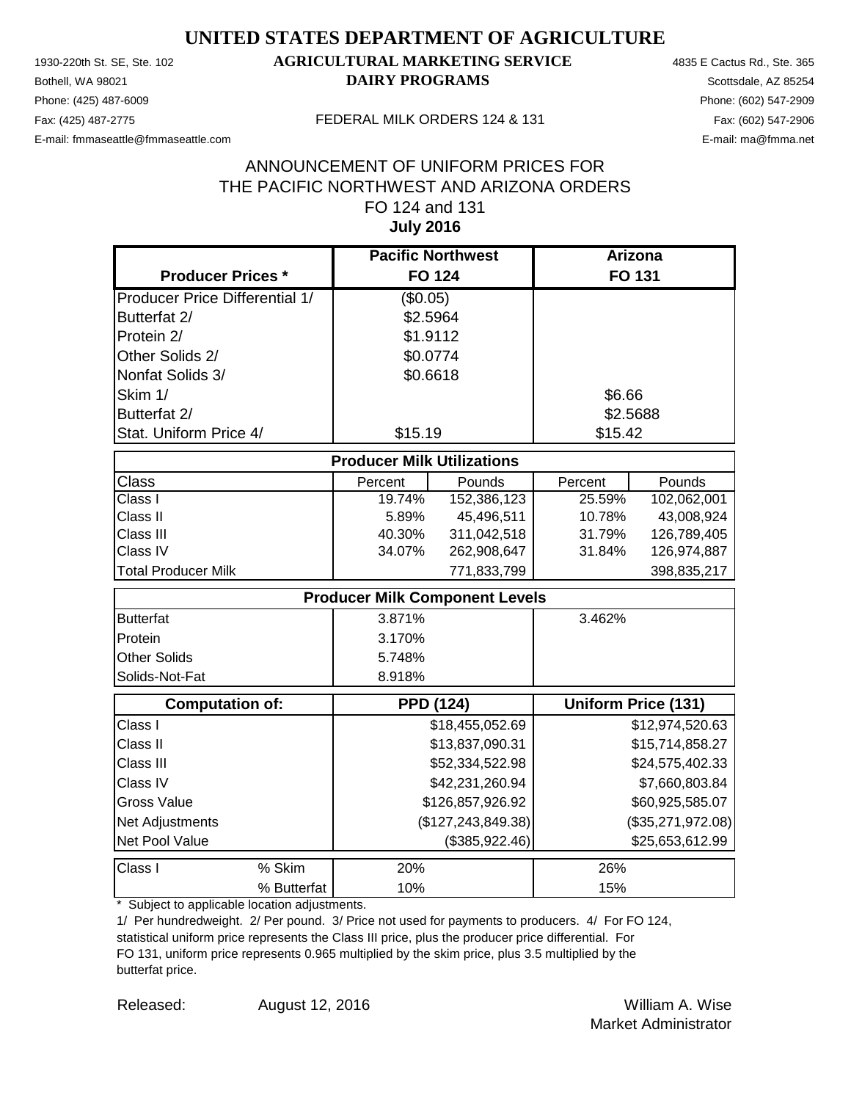Phone: (425) 487-6009 Phone: (602) 547-2909 E-mail: fmmaseattle@fmmaseattle.com E-mail: ma@fmma.net

### 1930-220th St. SE, Ste. 102 **AGRICULTURAL MARKETING SERVICE** 4835 E Cactus Rd., Ste. 365 **Bothell, WA 98021 DAIRY PROGRAMS** Scottsdale, AZ 85254

#### Fax: (425) 487-2775 FEDERAL MILK ORDERS 124 & 131

#### **July 2016** ANNOUNCEMENT OF UNIFORM PRICES FOR THE PACIFIC NORTHWEST AND ARIZONA ORDERS FO 124 and 131

|                                       | <b>Pacific Northwest</b>              |                      | Arizona  |                            |
|---------------------------------------|---------------------------------------|----------------------|----------|----------------------------|
| <b>Producer Prices *</b>              | <b>FO 124</b>                         |                      |          | <b>FO 131</b>              |
| <b>Producer Price Differential 1/</b> | (\$0.05)                              |                      |          |                            |
| Butterfat 2/                          | \$2.5964                              |                      |          |                            |
| Protein 2/                            | \$1.9112                              |                      |          |                            |
| Other Solids 2/                       | \$0.0774                              |                      |          |                            |
| Nonfat Solids 3/                      | \$0.6618                              |                      |          |                            |
| Skim 1/                               |                                       |                      | \$6.66   |                            |
| Butterfat 2/                          |                                       |                      | \$2.5688 |                            |
| Stat. Uniform Price 4/                | \$15.19                               |                      | \$15.42  |                            |
|                                       | <b>Producer Milk Utilizations</b>     |                      |          |                            |
| <b>Class</b>                          | Percent                               | Pounds               | Percent  | Pounds                     |
| Class I                               | 19.74%                                | 152,386,123          | 25.59%   | 102,062,001                |
| Class II                              | 5.89%                                 | 45,496,511           | 10.78%   | 43,008,924                 |
| Class III                             | 40.30%                                | 311,042,518          | 31.79%   | 126,789,405                |
| Class IV                              | 34.07%                                | 262,908,647          | 31.84%   | 126,974,887                |
| <b>Total Producer Milk</b>            |                                       | 771,833,799          |          | 398,835,217                |
|                                       | <b>Producer Milk Component Levels</b> |                      |          |                            |
| <b>Butterfat</b>                      | 3.871%                                |                      | 3.462%   |                            |
| Protein                               | 3.170%                                |                      |          |                            |
| <b>Other Solids</b>                   | 5.748%                                |                      |          |                            |
| Solids-Not-Fat                        | 8.918%                                |                      |          |                            |
| <b>Computation of:</b>                | <b>PPD (124)</b>                      |                      |          | <b>Uniform Price (131)</b> |
| Class I                               |                                       | \$18,455,052.69      |          | \$12,974,520.63            |
| Class II                              |                                       | \$13,837,090.31      |          | \$15,714,858.27            |
| Class III                             |                                       | \$52,334,522.98      |          | \$24,575,402.33            |
| Class IV                              |                                       | \$42,231,260.94      |          | \$7,660,803.84             |
| <b>Gross Value</b>                    |                                       | \$126,857,926.92     |          | \$60,925,585.07            |
| Net Adjustments                       |                                       | (\$127, 243, 849.38) |          | (\$35,271,972.08)          |
| Net Pool Value                        |                                       | (\$385,922.46)       |          | \$25,653,612.99            |
| % Skim<br>Class I                     | 20%                                   |                      | 26%      |                            |
| % Butterfat                           | 10%                                   |                      | 15%      |                            |

\* Subject to applicable location adjustments.

1/ Per hundredweight. 2/ Per pound. 3/ Price not used for payments to producers. 4/ For FO 124, statistical uniform price represents the Class III price, plus the producer price differential. For FO 131, uniform price represents 0.965 multiplied by the skim price, plus 3.5 multiplied by the butterfat price.

Released: William A. Wise August 12, 2016 Market Administrator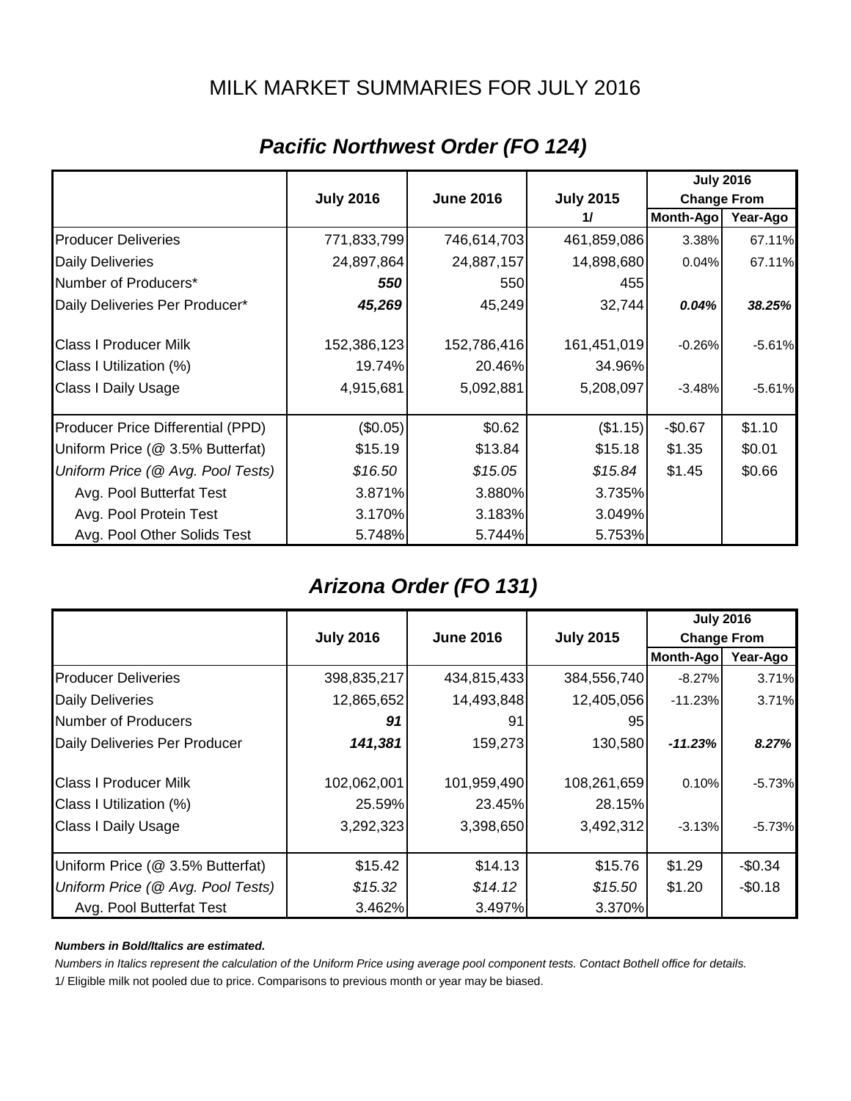### MILK MARKET SUMMARIES FOR JULY 2016

|                                   |                  |                  |                  | <b>July 2016</b>   |          |
|-----------------------------------|------------------|------------------|------------------|--------------------|----------|
|                                   | <b>July 2016</b> | <b>June 2016</b> | <b>July 2015</b> | <b>Change From</b> |          |
|                                   |                  |                  | 11               | Month-Ago          | Year-Ago |
| <b>Producer Deliveries</b>        | 771,833,799      | 746,614,703      | 461,859,086      | 3.38%              | 67.11%   |
| <b>Daily Deliveries</b>           | 24,897,864       | 24,887,157       | 14,898,680       | 0.04%              | 67.11%   |
| Number of Producers*              | 550              | 550              | 455              |                    |          |
| Daily Deliveries Per Producer*    | 45,269           | 45,249           | 32,744           | 0.04%              | 38.25%   |
| <b>Class I Producer Milk</b>      | 152,386,123      | 152,786,416      | 161,451,019      | $-0.26%$           | $-5.61%$ |
| Class I Utilization (%)           | 19.74%           | 20.46%           | 34.96%           |                    |          |
| Class I Daily Usage               | 4,915,681        | 5,092,881        | 5,208,097        | $-3.48%$           | $-5.61%$ |
| Producer Price Differential (PPD) | (\$0.05)         | \$0.62           | (\$1.15)         | $-$0.67$           | \$1.10   |
| Uniform Price (@ 3.5% Butterfat)  | \$15.19          | \$13.84          | \$15.18          | \$1.35             | \$0.01   |
| Uniform Price (@ Avg. Pool Tests) | \$16.50          | \$15.05          | \$15.84          | \$1.45             | \$0.66   |
| Avg. Pool Butterfat Test          | 3.871%           | 3.880%           | 3.735%           |                    |          |
| Avg. Pool Protein Test            | 3.170%           | 3.183%           | 3.049%           |                    |          |
| Avg. Pool Other Solids Test       | 5.748%           | 5.744%           | 5.753%           |                    |          |

### *Pacific Northwest Order (FO 124)*

### *Arizona Order (FO 131)*

|                                   |                  |                                                            |             | <b>July 2016</b> |          |
|-----------------------------------|------------------|------------------------------------------------------------|-------------|------------------|----------|
|                                   | <b>July 2016</b> | <b>July 2015</b><br><b>June 2016</b><br><b>Change From</b> |             |                  |          |
|                                   |                  |                                                            |             | <b>Month-Ago</b> | Year-Ago |
| <b>Producer Deliveries</b>        | 398,835,217      | 434,815,433                                                | 384,556,740 | $-8.27\%$        | 3.71%    |
| <b>Daily Deliveries</b>           | 12,865,652       | 14,493,848                                                 | 12,405,056  | $-11.23%$        | 3.71%    |
| Number of Producers               | 91               | 91                                                         | 95          |                  |          |
| Daily Deliveries Per Producer     | 141,381          | 159,273                                                    | 130,580     | $-11.23%$        | 8.27%    |
| <b>Class I Producer Milk</b>      | 102,062,001      | 101,959,490                                                | 108,261,659 | 0.10%            | $-5.73%$ |
| Class I Utilization (%)           | 25.59%           | 23.45%                                                     | 28.15%      |                  |          |
| <b>Class I Daily Usage</b>        | 3,292,323        | 3,398,650                                                  | 3,492,312   | $-3.13%$         | $-5.73%$ |
| Uniform Price (@ 3.5% Butterfat)  | \$15.42          | \$14.13                                                    | \$15.76     | \$1.29           | $-$0.34$ |
| Uniform Price (@ Avg. Pool Tests) | \$15.32          | \$14.12                                                    | \$15.50     | \$1.20           | $-$0.18$ |
| Avg. Pool Butterfat Test          | 3.462%           | 3.497%                                                     | 3.370%      |                  |          |

#### *Numbers in Bold/Italics are estimated.*

*Numbers in Italics represent the calculation of the Uniform Price using average pool component tests. Contact Bothell office for details.*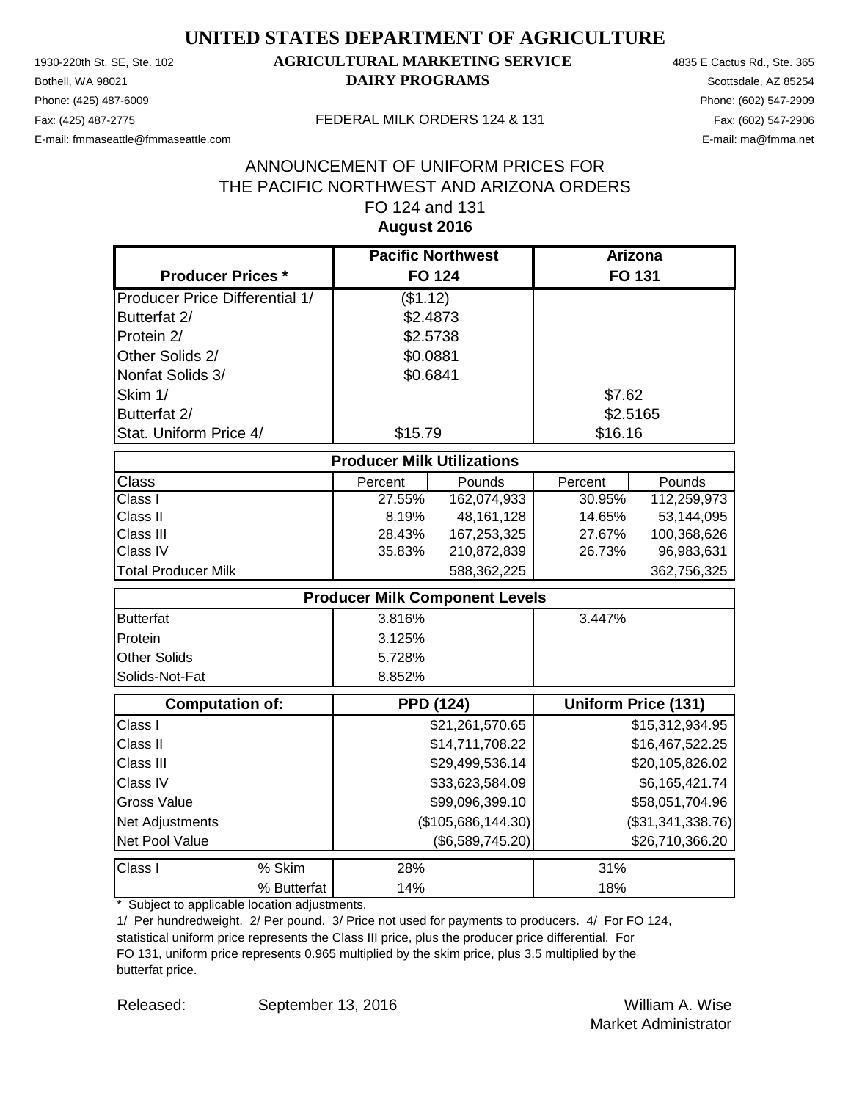Phone: (425) 487-6009 Phone: (602) 547-2909 E-mail: fmmaseattle@fmmaseattle.com E-mail: ma@fmma.net

### 1930-220th St. SE, Ste. 102 **AGRICULTURAL MARKETING SERVICE** 4835 E Cactus Rd., Ste. 365 **Bothell, WA 98021 DAIRY PROGRAMS** Scottsdale, AZ 85254

#### Fax: (425) 487-2775 FEDERAL MILK ORDERS 124 & 131

#### **August 2016** ANNOUNCEMENT OF UNIFORM PRICES FOR THE PACIFIC NORTHWEST AND ARIZONA ORDERS FO 124 and 131

|                                       | <b>Pacific Northwest</b>              |                    | <b>Arizona</b> |                            |
|---------------------------------------|---------------------------------------|--------------------|----------------|----------------------------|
| <b>Producer Prices *</b>              | <b>FO 124</b>                         |                    |                | FO 131                     |
| <b>Producer Price Differential 1/</b> | (\$1.12)                              |                    |                |                            |
| Butterfat 2/                          | \$2.4873                              |                    |                |                            |
| Protein 2/                            | \$2.5738                              |                    |                |                            |
| Other Solids 2/                       | \$0.0881                              |                    |                |                            |
| Nonfat Solids 3/                      | \$0.6841                              |                    |                |                            |
| Skim 1/                               |                                       |                    | \$7.62         |                            |
| Butterfat 2/                          |                                       |                    | \$2.5165       |                            |
| Stat. Uniform Price 4/                | \$15.79                               |                    | \$16.16        |                            |
|                                       | <b>Producer Milk Utilizations</b>     |                    |                |                            |
| <b>Class</b>                          | Percent                               | Pounds             | Percent        | Pounds                     |
| Class I                               | 27.55%                                | 162,074,933        | 30.95%         | 112,259,973                |
| Class II                              | 8.19%                                 | 48, 161, 128       | 14.65%         | 53,144,095                 |
| Class III                             | 28.43%                                | 167,253,325        | 27.67%         | 100,368,626                |
| Class IV                              | 35.83%                                | 210,872,839        | 26.73%         | 96,983,631                 |
| <b>Total Producer Milk</b>            |                                       | 588,362,225        |                | 362,756,325                |
|                                       | <b>Producer Milk Component Levels</b> |                    |                |                            |
| <b>Butterfat</b>                      | 3.816%                                |                    | 3.447%         |                            |
| Protein                               | 3.125%                                |                    |                |                            |
| <b>Other Solids</b>                   | 5.728%                                |                    |                |                            |
| Solids-Not-Fat                        | 8.852%                                |                    |                |                            |
| <b>Computation of:</b>                | <b>PPD (124)</b>                      |                    |                | <b>Uniform Price (131)</b> |
| Class I                               |                                       | \$21,261,570.65    |                | \$15,312,934.95            |
| Class II                              |                                       | \$14,711,708.22    |                | \$16,467,522.25            |
| Class III                             |                                       | \$29,499,536.14    |                | \$20,105,826.02            |
| Class IV                              |                                       | \$33,623,584.09    |                | \$6,165,421.74             |
| <b>Gross Value</b>                    |                                       | \$99,096,399.10    |                | \$58,051,704.96            |
| Net Adjustments                       |                                       | (\$105,686,144.30) |                | (\$31,341,338.76)          |
| Net Pool Value                        |                                       | (\$6,589,745.20)   |                | \$26,710,366.20            |
| % Skim<br>Class I                     | 28%                                   |                    | 31%            |                            |
| % Butterfat                           | 14%                                   |                    | 18%            |                            |

\* Subject to applicable location adjustments.

1/ Per hundredweight. 2/ Per pound. 3/ Price not used for payments to producers. 4/ For FO 124, statistical uniform price represents the Class III price, plus the producer price differential. For FO 131, uniform price represents 0.965 multiplied by the skim price, plus 3.5 multiplied by the butterfat price.

Released: William A. Wise September 13, 2016 Market Administrator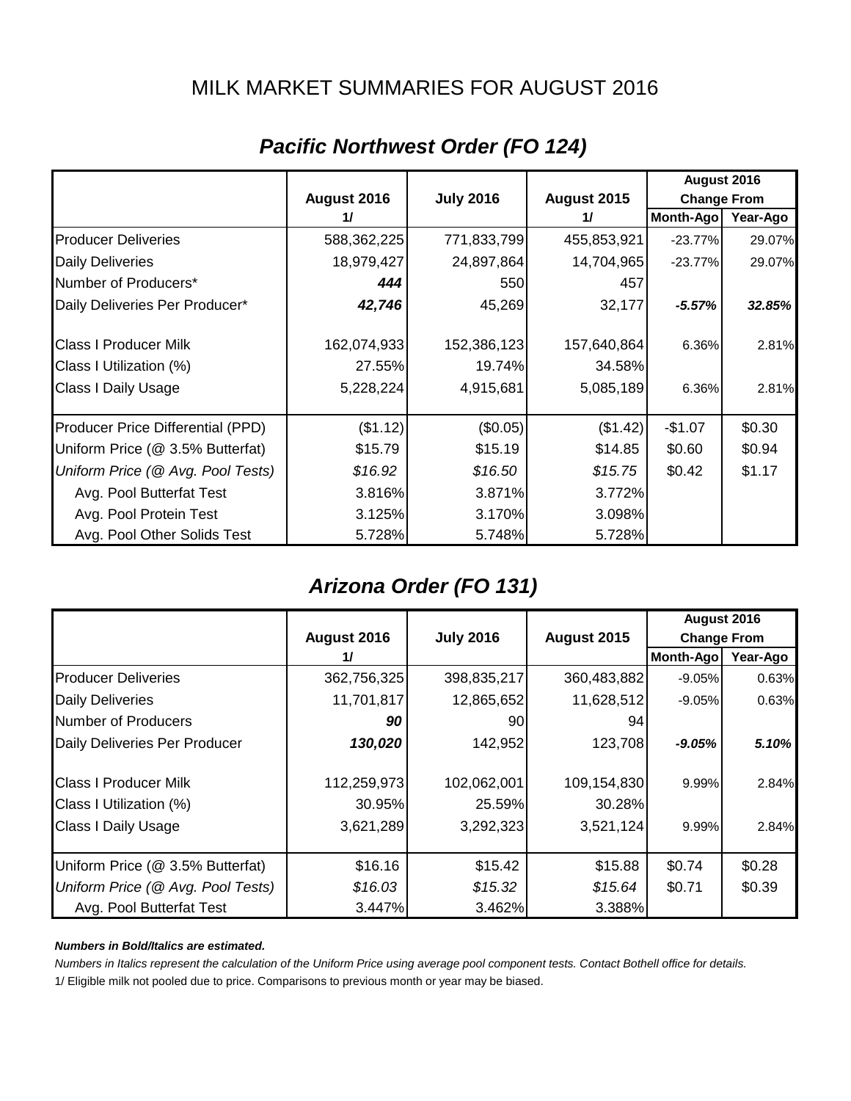### MILK MARKET SUMMARIES FOR AUGUST 2016

|                                   |             |                  |             | August 2016        |          |
|-----------------------------------|-------------|------------------|-------------|--------------------|----------|
|                                   | August 2016 | <b>July 2016</b> | August 2015 | <b>Change From</b> |          |
|                                   | 11          |                  | 11          | Month-Ago          | Year-Ago |
| <b>Producer Deliveries</b>        | 588,362,225 | 771,833,799      | 455,853,921 | $-23.77%$          | 29.07%   |
| <b>Daily Deliveries</b>           | 18,979,427  | 24,897,864       | 14,704,965  | $-23.77%$          | 29.07%   |
| Number of Producers*              | 444         | 550              | 457         |                    |          |
| Daily Deliveries Per Producer*    | 42,746      | 45,269           | 32,177      | $-5.57%$           | 32.85%   |
| <b>Class I Producer Milk</b>      | 162,074,933 | 152,386,123      | 157,640,864 | 6.36%              | 2.81%    |
| Class I Utilization (%)           | 27.55%      | 19.74%           | 34.58%      |                    |          |
| Class I Daily Usage               | 5,228,224   | 4,915,681        | 5,085,189   | 6.36%              | 2.81%    |
| Producer Price Differential (PPD) | (\$1.12)    | (\$0.05)         | (\$1.42)    | $-$1.07$           | \$0.30   |
| Uniform Price (@ 3.5% Butterfat)  | \$15.79     | \$15.19          | \$14.85     | \$0.60             | \$0.94   |
| Uniform Price (@ Avg. Pool Tests) | \$16.92     | \$16.50          | \$15.75     | \$0.42             | \$1.17   |
| Avg. Pool Butterfat Test          | 3.816%      | 3.871%           | 3.772%      |                    |          |
| Avg. Pool Protein Test            | 3.125%      | 3.170%           | 3.098%      |                    |          |
| Avg. Pool Other Solids Test       | 5.728%      | 5.748%           | 5.728%      |                    |          |

### *Pacific Northwest Order (FO 124)*

### *Arizona Order (FO 131)*

|                                   |             |                  |             | August 2016        |          |
|-----------------------------------|-------------|------------------|-------------|--------------------|----------|
|                                   | August 2016 | <b>July 2016</b> | August 2015 | <b>Change From</b> |          |
|                                   | 11          |                  |             | Month-Ago          | Year-Ago |
| <b>Producer Deliveries</b>        | 362,756,325 | 398,835,217      | 360,483,882 | $-9.05\%$          | 0.63%    |
| <b>Daily Deliveries</b>           | 11,701,817  | 12,865,652       | 11,628,512  | $-9.05\%$          | 0.63%    |
| Number of Producers               | 90          | 90               | 94          |                    |          |
| Daily Deliveries Per Producer     | 130,020     | 142,952          | 123,708     | $-9.05\%$          | 5.10%    |
| <b>Class I Producer Milk</b>      | 112,259,973 | 102,062,001      | 109,154,830 | $9.99\%$           | 2.84%    |
| Class I Utilization (%)           | 30.95%      | 25.59%           | 30.28%      |                    |          |
| <b>Class I Daily Usage</b>        | 3,621,289   | 3,292,323        | 3,521,124   | $9.99\%$           | 2.84%    |
| Uniform Price (@ 3.5% Butterfat)  | \$16.16     | \$15.42          | \$15.88     | \$0.74             | \$0.28   |
| Uniform Price (@ Avg. Pool Tests) | \$16.03     | \$15.32          | \$15.64     | \$0.71             | \$0.39   |
| Avg. Pool Butterfat Test          | 3.447%      | 3.462%           | 3.388%      |                    |          |

#### *Numbers in Bold/Italics are estimated.*

*Numbers in Italics represent the calculation of the Uniform Price using average pool component tests. Contact Bothell office for details.*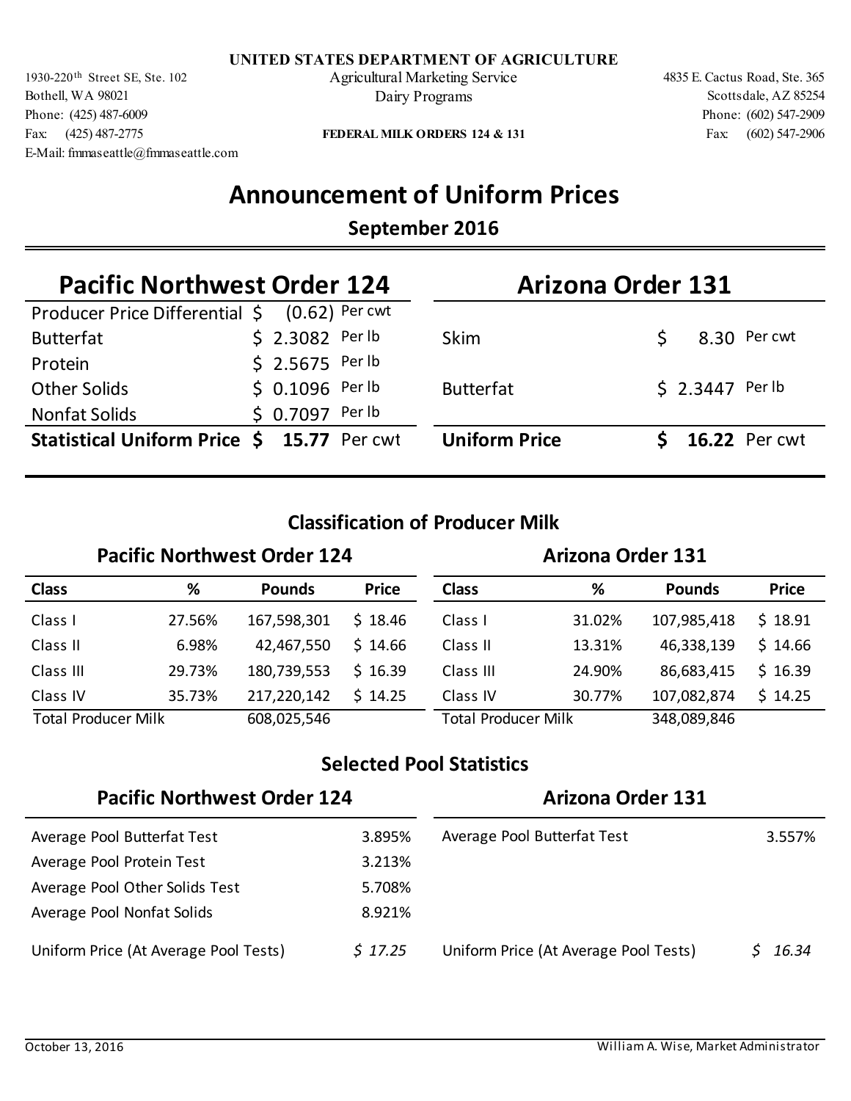Bothell, WA 98021 Phone: (425) 487-6009 Fax: (425) 487-2775 E-Mail: fmmaseattle@fmmaseattle.com

1930-220<sup>th</sup> Street SE, Ste. 102 Agricultural Marketing Service 4835 E. Cactus Road, Ste. 365 Dairy Programs

Fax: (602) 547-2906 Phone: (602) 547-2909 Scottsdale, AZ 85254

**FEDERAL MILK ORDERS 124 & 131**

## **Announcement of Uniform Prices**

### **September 2016**

| <b>Pacific Northwest Order 124</b>                 |  |                  | <b>Arizona Order 131</b> |                      |  |                  |                      |
|----------------------------------------------------|--|------------------|--------------------------|----------------------|--|------------------|----------------------|
| Producer Price Differential $\zeta$ (0.62) Per cwt |  |                  |                          |                      |  |                  |                      |
| <b>Butterfat</b>                                   |  | $$2.3082$ Per lb |                          | <b>Skim</b>          |  |                  | 8.30 Per cwt         |
| Protein                                            |  | $$2.5675$ Per lb |                          |                      |  |                  |                      |
| <b>Other Solids</b>                                |  | $$0.1096$ Per lb |                          | <b>Butterfat</b>     |  | \$ 2.3447 Per lb |                      |
| <b>Nonfat Solids</b>                               |  | $$0.7097$ Per lb |                          |                      |  |                  |                      |
| Statistical Uniform Price \$ 15.77 Per cwt         |  |                  |                          | <b>Uniform Price</b> |  |                  | <b>16.22 Per cwt</b> |

### **Classification of Producer Milk**

#### Pacific Northwest Order 124 **Arizona Order 131 Class % Pounds Price Class % Pounds Price** Class I Class II Class III Class IV Total Producer Milk 608,025,546 Class IV Class III Class II 27.56% 167,598,301 \$ 18.46 Class I 6.98% 29.73% 35.73% 31.02% 13.31% 24.90% 30.77% 42,467,550 180,739,553 217,220,142 107,985,418 46,338,139 86,683,415 107,082,874 Total Producer Milk 348,089,846  $$18.46$  $$14.66$  $$16.39$  $$14.25$  18.91 \$  $$14.66$  $$16.39$ 14.25 \$

### **Selected Pool Statistics**

| <b>Pacific Northwest Order 124</b>    |         | <b>Arizona Order 131</b>              |        |  |
|---------------------------------------|---------|---------------------------------------|--------|--|
| Average Pool Butterfat Test           | 3.895%  | Average Pool Butterfat Test           | 3.557% |  |
| Average Pool Protein Test             | 3.213%  |                                       |        |  |
| Average Pool Other Solids Test        | 5.708%  |                                       |        |  |
| Average Pool Nonfat Solids            | 8.921%  |                                       |        |  |
| Uniform Price (At Average Pool Tests) | \$17.25 | Uniform Price (At Average Pool Tests) | 16.34  |  |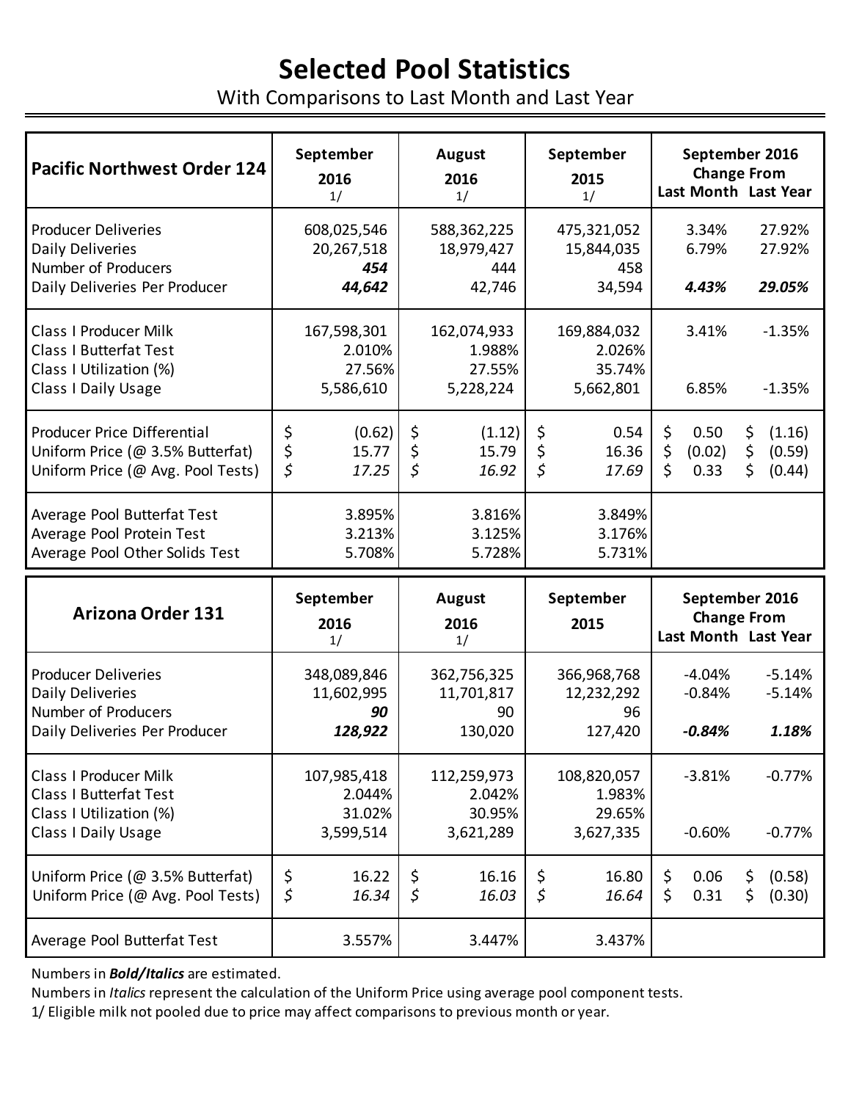# **Selected Pool Statistics**

With Comparisons to Last Month and Last Year

| <b>Pacific Northwest Order 124</b>                                                                                     | September<br>2016<br>1/                      | <b>August</b><br>2016<br>1/                  | September<br>2015<br>1/                           | September 2016<br><b>Change From</b><br>Last Month Last Year                             |
|------------------------------------------------------------------------------------------------------------------------|----------------------------------------------|----------------------------------------------|---------------------------------------------------|------------------------------------------------------------------------------------------|
| <b>Producer Deliveries</b><br><b>Daily Deliveries</b><br>Number of Producers<br>Daily Deliveries Per Producer          | 608,025,546<br>20,267,518<br>454<br>44,642   | 588,362,225<br>18,979,427<br>444<br>42,746   | 475,321,052<br>15,844,035<br>458<br>34,594        | 27.92%<br>3.34%<br>6.79%<br>27.92%<br>4.43%<br>29.05%                                    |
| <b>Class I Producer Milk</b><br><b>Class I Butterfat Test</b><br>Class I Utilization (%)<br>Class I Daily Usage        | 167,598,301<br>2.010%<br>27.56%<br>5,586,610 | 162,074,933<br>1.988%<br>27.55%<br>5,228,224 | 169,884,032<br>2.026%<br>35.74%<br>5,662,801      | 3.41%<br>$-1.35%$<br>6.85%<br>$-1.35%$                                                   |
| Producer Price Differential<br>Uniform Price (@ 3.5% Butterfat)<br>Uniform Price (@ Avg. Pool Tests)                   | \$<br>(0.62)<br>\$<br>15.77<br>\$<br>17.25   | \$<br>(1.12)<br>\$<br>15.79<br>\$<br>16.92   | \$<br>0.54<br>\$<br>16.36<br>$\varsigma$<br>17.69 | \$<br>\$<br>0.50<br>(1.16)<br>\$<br>\$<br>(0.02)<br>(0.59)<br>\$<br>\$<br>(0.44)<br>0.33 |
| Average Pool Butterfat Test<br>Average Pool Protein Test<br>Average Pool Other Solids Test                             | 3.895%<br>3.213%<br>5.708%                   | 3.816%<br>3.125%<br>5.728%                   | 3.849%<br>3.176%<br>5.731%                        |                                                                                          |
| <b>Arizona Order 131</b>                                                                                               | September<br>2016<br>1/                      | <b>August</b><br>2016<br>1/                  | September<br>2015                                 | September 2016<br><b>Change From</b><br>Last Month Last Year                             |
| <b>Producer Deliveries</b><br><b>Daily Deliveries</b><br>Number of Producers<br>Daily Deliveries Per Producer          | 348,089,846<br>11,602,995<br>90<br>128,922   | 362,756,325<br>11,701,817<br>90<br>130,020   | 366,968,768<br>12,232,292<br>96<br>127,420        | $-4.04%$<br>$-5.14%$<br>$-0.84%$<br>$-5.14%$<br>$-0.84%$<br>1.18%                        |
| <b>Class I Producer Milk</b><br><b>Class I Butterfat Test</b><br>Class I Utilization (%)<br><b>Class I Daily Usage</b> | 107,985,418<br>2.044%<br>31.02%<br>3,599,514 | 112,259,973<br>2.042%<br>30.95%<br>3,621,289 | 108,820,057<br>1.983%<br>29.65%<br>3,627,335      | $-3.81%$<br>$-0.77%$<br>$-0.60%$<br>$-0.77%$                                             |
| Uniform Price (@ 3.5% Butterfat)<br>Uniform Price (@ Avg. Pool Tests)                                                  | \$<br>16.22<br>\$<br>16.34                   | \$<br>16.16<br>\$<br>16.03                   | \$<br>16.80<br>$\varsigma$<br>16.64               | \$<br>0.06<br>(0.58)<br>Ş.<br>\$<br>0.31<br>\$<br>(0.30)                                 |
| Average Pool Butterfat Test                                                                                            | 3.557%                                       | 3.447%                                       | 3.437%                                            |                                                                                          |

Numbers in *Bold/Italics* are estimated.

Numbers in *Italics* represent the calculation of the Uniform Price using average pool component tests.

1/ Eligible milk not pooled due to price may affect comparisons to previous month or year.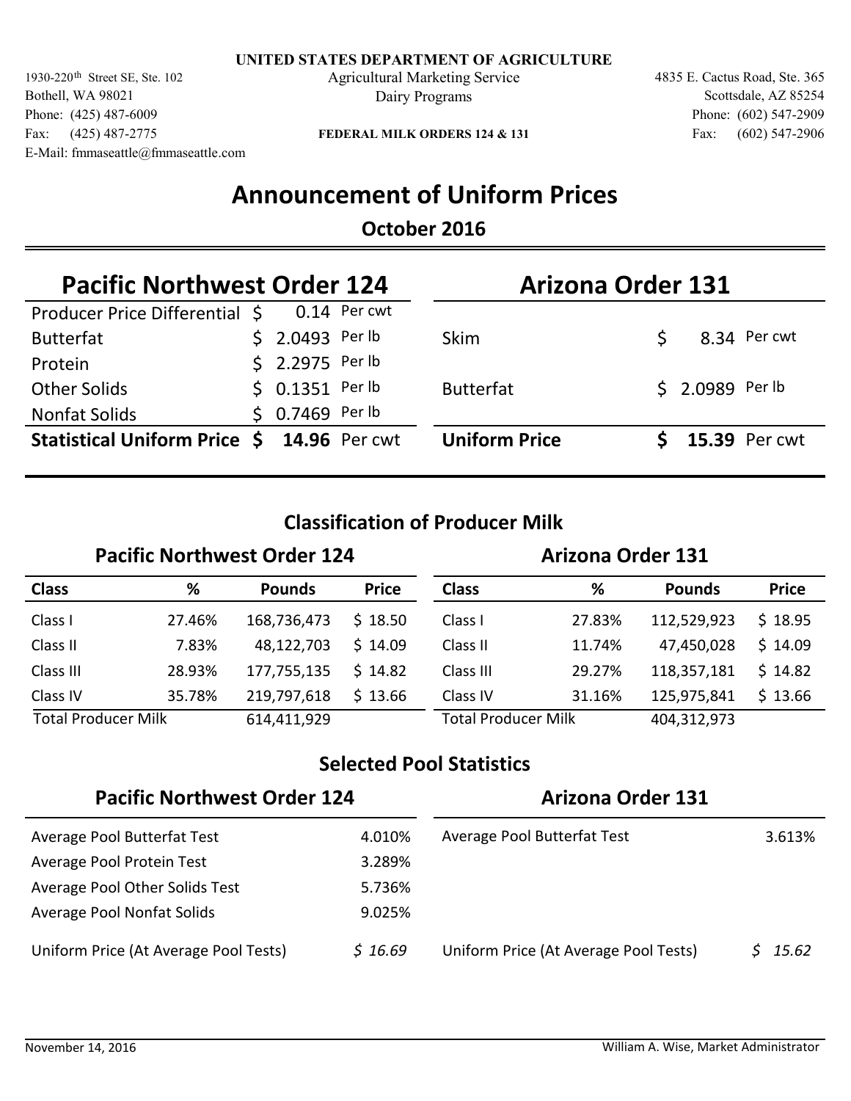1930-220<sup>th</sup> Street SE, Ste. 102 **Agricultural Marketing Service** 4835 E. Cactus Road, Ste. 365 Bothell, WA 98021 Phone: (425) 487-6009 Fax: (425) 487-2775 E-Mail: fmmaseattle@fmmaseattle.com

Dairy Programs

Fax: (602) 547-2906 Phone: (602) 547-2909 Scottsdale, AZ 85254

**FEDERAL MILK ORDERS 124 & 131**

## **Announcement of Uniform Prices**

### **October 2016**

| <b>Pacific Northwest Order 124</b>         |  |                  | <b>Arizona Order 131</b> |                      |  |                  |               |
|--------------------------------------------|--|------------------|--------------------------|----------------------|--|------------------|---------------|
| Producer Price Differential \$             |  |                  | $0.14$ Per cwt           |                      |  |                  |               |
| <b>Butterfat</b>                           |  | $$2.0493$ Per lb |                          | <b>Skim</b>          |  |                  | 8.34 Per cwt  |
| Protein                                    |  | \$ 2.2975 Per lb |                          |                      |  |                  |               |
| <b>Other Solids</b>                        |  | $$0.1351$ Per lb |                          | <b>Butterfat</b>     |  | \$ 2.0989 Per lb |               |
| <b>Nonfat Solids</b>                       |  | $$0.7469$ Per lb |                          |                      |  |                  |               |
| Statistical Uniform Price \$ 14.96 Per cwt |  |                  |                          | <b>Uniform Price</b> |  |                  | 15.39 Per cwt |

### **Classification of Producer Milk**

#### **Pacific Northwest Order 124 Arizona Order 131 Class % Pounds Price Class % Pounds Price** Class I Class II Class III Class IV Total Producer Milk 614,411,929 Class IV Class III Class II 27.46% 168,736,473 \$ 18.50 Class I 7.83% 28.93% 35.78% 27.83% 11.74% 29.27% 31.16% 48,122,703 177,755,135 219,797,618 112,529,923 47,450,028 118,357,181 125,975,841 Total Producer Milk 404,312,973  $$18.50$  $$14.09$  $$14.82$  $$13.66$  18.95 \$ 14.09 \$  $$14.82$ 13.66 \$

### **Selected Pool Statistics**

| <b>Pacific Northwest Order 124</b>    |         | <b>Arizona Order 131</b>              |        |  |
|---------------------------------------|---------|---------------------------------------|--------|--|
| Average Pool Butterfat Test           | 4.010%  | Average Pool Butterfat Test           | 3.613% |  |
| Average Pool Protein Test             | 3.289%  |                                       |        |  |
| Average Pool Other Solids Test        | 5.736%  |                                       |        |  |
| Average Pool Nonfat Solids            | 9.025%  |                                       |        |  |
| Uniform Price (At Average Pool Tests) | \$16.69 | Uniform Price (At Average Pool Tests) | 15.62  |  |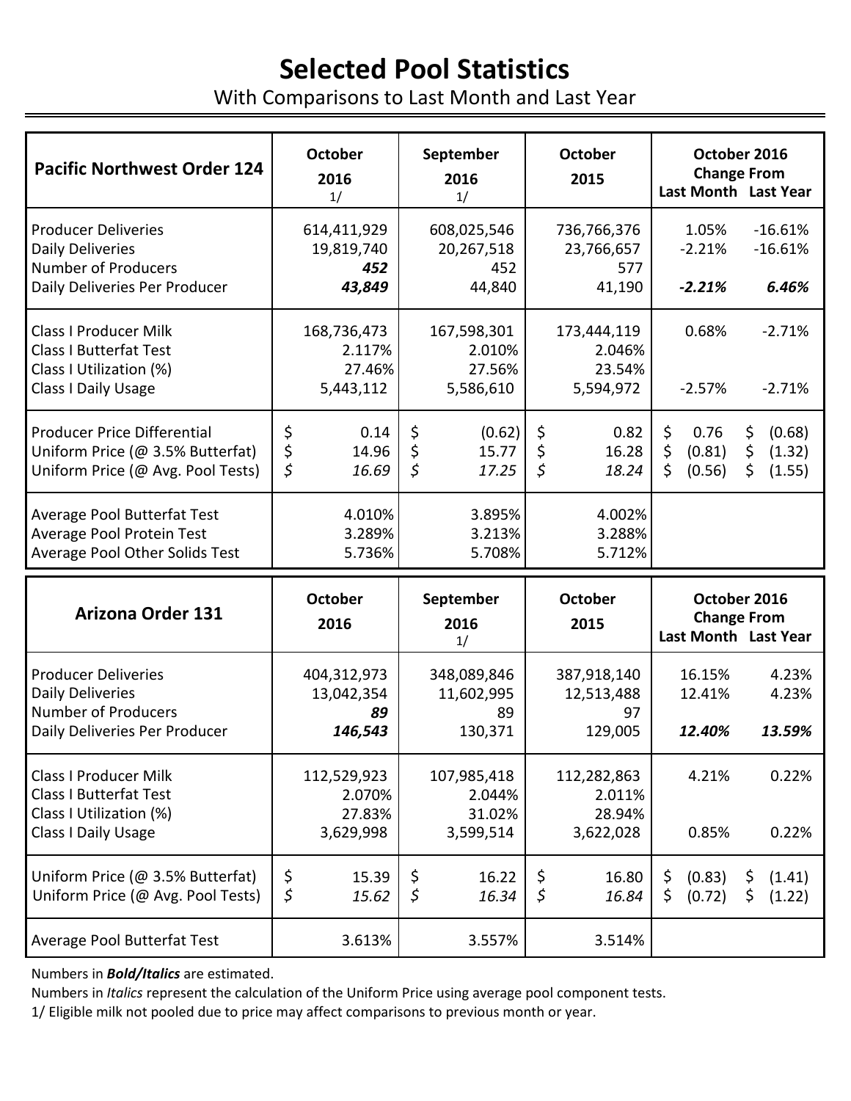# **Selected Pool Statistics**

With Comparisons to Last Month and Last Year

| <b>Pacific Northwest Order 124</b>                                                                                   | <b>October</b><br>2016<br>1/                 | September<br>2016<br>1/                             | <b>October</b><br>2015                       | October 2016<br><b>Change From</b><br>Last Month Last Year                                 |  |
|----------------------------------------------------------------------------------------------------------------------|----------------------------------------------|-----------------------------------------------------|----------------------------------------------|--------------------------------------------------------------------------------------------|--|
| <b>Producer Deliveries</b><br><b>Daily Deliveries</b><br><b>Number of Producers</b><br>Daily Deliveries Per Producer | 614,411,929<br>19,819,740<br>452<br>43,849   | 608,025,546<br>20,267,518<br>452<br>44,840          | 736,766,376<br>23,766,657<br>577<br>41,190   | $-16.61%$<br>1.05%<br>$-2.21%$<br>$-16.61%$<br>$-2.21%$<br>6.46%                           |  |
| <b>Class I Producer Milk</b><br><b>Class I Butterfat Test</b><br>Class I Utilization (%)<br>Class I Daily Usage      | 168,736,473<br>2.117%<br>27.46%<br>5,443,112 | 167,598,301<br>2.010%<br>27.56%<br>5,586,610        | 173,444,119<br>2.046%<br>23.54%<br>5,594,972 | 0.68%<br>$-2.71%$<br>$-2.57%$<br>$-2.71%$                                                  |  |
| <b>Producer Price Differential</b><br>Uniform Price (@ 3.5% Butterfat)<br>Uniform Price (@ Avg. Pool Tests)          | \$<br>0.14<br>\$<br>14.96<br>\$<br>16.69     | \$<br>(0.62)<br>\$<br>15.77<br>$\varsigma$<br>17.25 | \$<br>0.82<br>\$<br>16.28<br>\$<br>18.24     | \$<br>\$<br>0.76<br>(0.68)<br>\$<br>\$<br>(0.81)<br>(1.32)<br>\$<br>\$<br>(0.56)<br>(1.55) |  |
| Average Pool Butterfat Test<br>Average Pool Protein Test<br>Average Pool Other Solids Test                           | 4.010%<br>3.289%<br>5.736%                   | 3.895%<br>3.213%<br>5.708%                          | 4.002%<br>3.288%<br>5.712%                   |                                                                                            |  |
| <b>Arizona Order 131</b>                                                                                             | <b>October</b><br>2016                       | September<br>2016<br>1/                             |                                              | October 2016<br><b>Change From</b><br>Last Month Last Year                                 |  |
| <b>Producer Deliveries</b><br><b>Daily Deliveries</b><br><b>Number of Producers</b><br>Daily Deliveries Per Producer | 404,312,973<br>13,042,354<br>89<br>146,543   | 348,089,846<br>11,602,995<br>89<br>130,371          | 387,918,140<br>12,513,488<br>97<br>129,005   | 16.15%<br>4.23%<br>12.41%<br>4.23%<br>12.40%<br>13.59%                                     |  |
| <b>Class I Producer Milk</b><br><b>Class I Butterfat Test</b><br>Class I Utilization (%)<br>Class I Daily Usage      | 112,529,923<br>2.070%<br>27.83%<br>3,629,998 | 107,985,418<br>2.044%<br>31.02%<br>3,599,514        | 112,282,863<br>2.011%<br>28.94%<br>3,622,028 | 4.21%<br>0.22%<br>0.85%<br>0.22%                                                           |  |
| Uniform Price (@ 3.5% Butterfat)<br>Uniform Price (@ Avg. Pool Tests)                                                | \$<br>15.39<br>\$<br>15.62                   | \$<br>16.22<br>$\varsigma$<br>16.34                 | \$<br>16.80<br>\$<br>16.84                   | \$<br>(0.83)<br>(1.41)<br>Ş.<br>\$<br>(0.72)<br>\$<br>(1.22)                               |  |
| Average Pool Butterfat Test                                                                                          | 3.613%                                       | 3.557%                                              | 3.514%                                       |                                                                                            |  |

Numbers in *Bold/Italics* are estimated.

Numbers in *Italics* represent the calculation of the Uniform Price using average pool component tests.

1/ Eligible milk not pooled due to price may affect comparisons to previous month or year.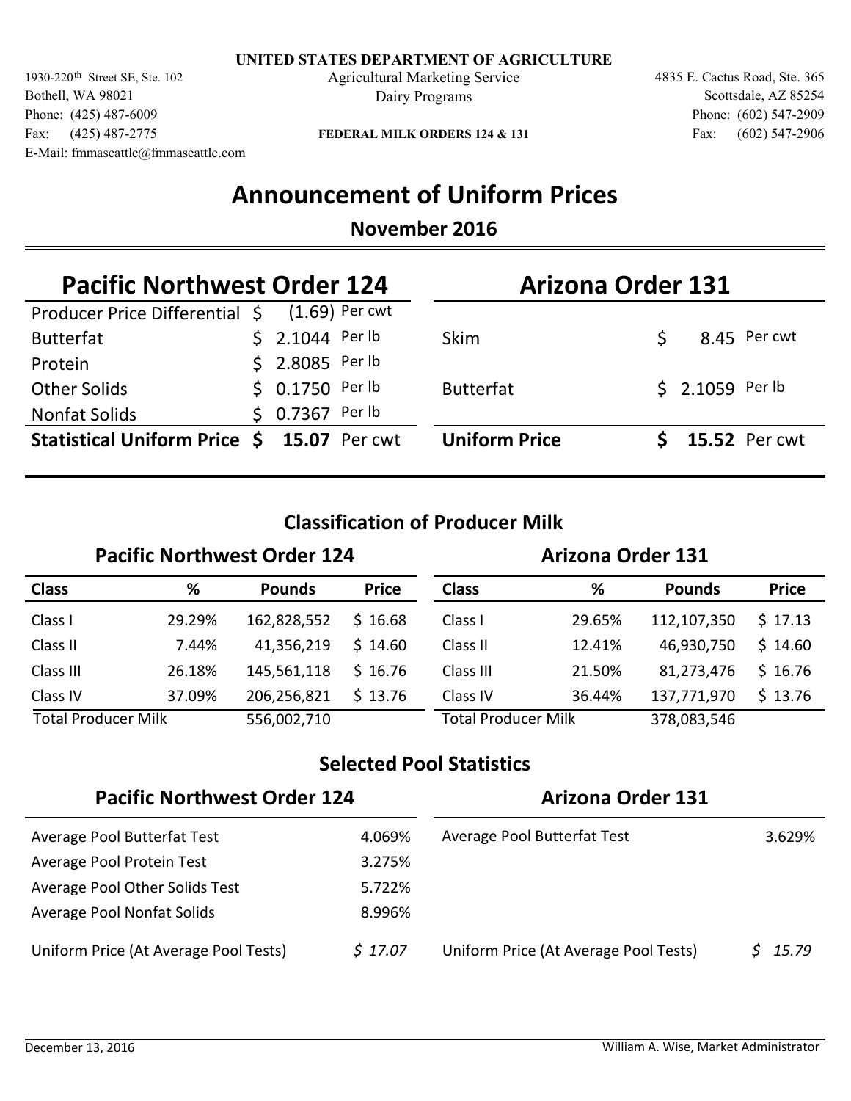1930-220<sup>th</sup> Street SE, Ste. 102 **Agricultural Marketing Service** 4835 E. Cactus Road, Ste. 365 Bothell, WA 98021 Phone: (425) 487-6009 Fax: (425) 487-2775 E-Mail: fmmaseattle@fmmaseattle.com

Dairy Programs

Fax: (602) 547-2906 Phone: (602) 547-2909 Scottsdale, AZ 85254

**FEDERAL MILK ORDERS 124 & 131**

## **Announcement of Uniform Prices**

### **November 2016**

| <b>Pacific Northwest Order 124</b>            |  |                  | <b>Arizona Order 131</b> |  |                      |  |
|-----------------------------------------------|--|------------------|--------------------------|--|----------------------|--|
| Producer Price Differential \$ (1.69) Per cwt |  |                  |                          |  |                      |  |
| <b>Butterfat</b>                              |  | $$2.1044$ Per lb | <b>Skim</b>              |  | 8.45 Per cwt         |  |
| Protein                                       |  | \$ 2.8085 Per lb |                          |  |                      |  |
| <b>Other Solids</b>                           |  | $$0.1750$ Per lb | <b>Butterfat</b>         |  | \$ 2.1059 Per lb     |  |
| <b>Nonfat Solids</b>                          |  | \$ 0.7367 Per lb |                          |  |                      |  |
| Statistical Uniform Price \$ 15.07 Per cwt    |  |                  | <b>Uniform Price</b>     |  | <b>15.52 Per cwt</b> |  |

### **Classification of Producer Milk**

#### **Pacific Northwest Order 124 Arizona Order 131 Class % Pounds Price Class % Pounds Price** Class I Class II Class III Class IV Total Producer Milk 556,002,710 Class IV Class III Class II 29.29% 162,828,552 \$ 16.68 Class I 7.44% 26.18% 37.09% 29.65% 12.41% 21.50% 36.44% 41,356,219 145,561,118 206,256,821 112,107,350 46,930,750 81,273,476 137,771,970 Total Producer Milk 378,083,546  $$16.68$  $$14.60$  $$16.76$  13.76 \$  $$17.13$  $$14.60$  $$16.76$ 13.76 \$

### **Selected Pool Statistics**

| <b>Pacific Northwest Order 124</b>    |         | <b>Arizona Order 131</b>              |                      |  |
|---------------------------------------|---------|---------------------------------------|----------------------|--|
| Average Pool Butterfat Test           | 4.069%  | Average Pool Butterfat Test           | 3.629%               |  |
| Average Pool Protein Test             | 3.275%  |                                       |                      |  |
| Average Pool Other Solids Test        | 5.722%  |                                       |                      |  |
| Average Pool Nonfat Solids            | 8.996%  |                                       |                      |  |
| Uniform Price (At Average Pool Tests) | \$17.07 | Uniform Price (At Average Pool Tests) | 15.79<br>$\varsigma$ |  |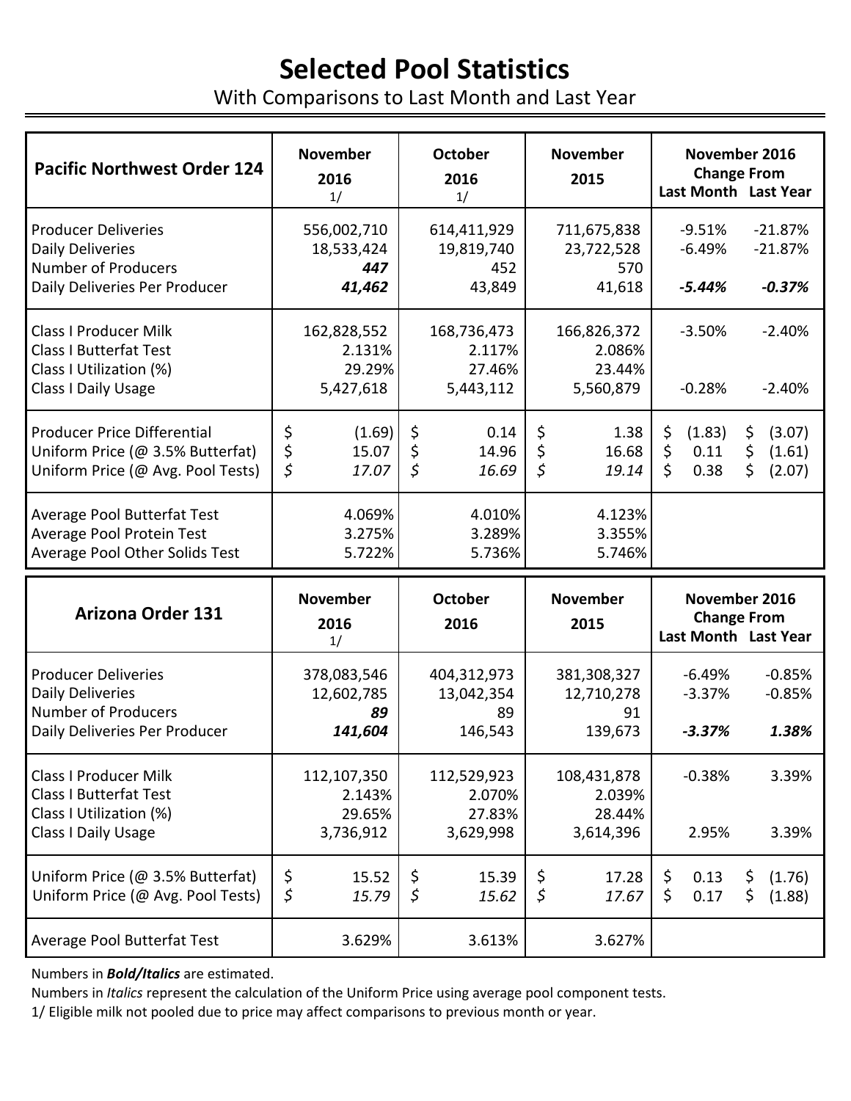# **Selected Pool Statistics**

With Comparisons to Last Month and Last Year

| <b>Pacific Northwest Order 124</b>                                                                                   | <b>November</b><br>2016<br>1/                | <b>October</b><br>2016<br>1/                      | <b>November</b><br>2015                      | November 2016<br><b>Change From</b><br>Last Month Last Year                              |
|----------------------------------------------------------------------------------------------------------------------|----------------------------------------------|---------------------------------------------------|----------------------------------------------|------------------------------------------------------------------------------------------|
| <b>Producer Deliveries</b><br><b>Daily Deliveries</b><br><b>Number of Producers</b><br>Daily Deliveries Per Producer | 556,002,710<br>18,533,424<br>447<br>41,462   | 614,411,929<br>19,819,740<br>452<br>43,849        | 711,675,838<br>23,722,528<br>570<br>41,618   | $-9.51%$<br>$-21.87%$<br>$-6.49%$<br>$-21.87%$<br>$-5.44%$<br>$-0.37%$                   |
| <b>Class I Producer Milk</b><br><b>Class I Butterfat Test</b><br>Class I Utilization (%)<br>Class I Daily Usage      | 162,828,552<br>2.131%<br>29.29%<br>5,427,618 | 168,736,473<br>2.117%<br>27.46%<br>5,443,112      | 166,826,372<br>2.086%<br>23.44%<br>5,560,879 | $-3.50%$<br>$-2.40%$<br>$-0.28%$<br>$-2.40%$                                             |
| <b>Producer Price Differential</b><br>Uniform Price (@ 3.5% Butterfat)<br>Uniform Price (@ Avg. Pool Tests)          | \$<br>(1.69)<br>\$<br>15.07<br>\$<br>17.07   | \$<br>0.14<br>\$<br>14.96<br>$\varsigma$<br>16.69 | \$<br>1.38<br>\$<br>16.68<br>\$<br>19.14     | \$<br>\$<br>(1.83)<br>(3.07)<br>\$<br>\$<br>0.11<br>(1.61)<br>\$<br>\$<br>0.38<br>(2.07) |
| Average Pool Butterfat Test<br>Average Pool Protein Test<br>Average Pool Other Solids Test                           | 4.069%<br>3.275%<br>5.722%                   | 4.010%<br>3.289%<br>5.736%                        | 4.123%<br>3.355%<br>5.746%                   |                                                                                          |
| <b>Arizona Order 131</b>                                                                                             | <b>November</b><br>2016<br>1/                | <b>October</b><br>2016                            | <b>November</b><br>2015                      | November 2016<br><b>Change From</b><br>Last Month Last Year                              |
| <b>Producer Deliveries</b><br><b>Daily Deliveries</b><br><b>Number of Producers</b><br>Daily Deliveries Per Producer | 378,083,546<br>12,602,785<br>89<br>141,604   | 404,312,973<br>13,042,354<br>89<br>146,543        | 381,308,327<br>12,710,278<br>91<br>139,673   | $-6.49%$<br>$-0.85%$<br>$-3.37%$<br>$-0.85%$<br>$-3.37%$<br>1.38%                        |
| <b>Class I Producer Milk</b><br><b>Class I Butterfat Test</b><br>Class I Utilization (%)<br>Class I Daily Usage      | 112,107,350<br>2.143%<br>29.65%<br>3,736,912 | 112,529,923<br>2.070%<br>27.83%<br>3,629,998      | 108,431,878<br>2.039%<br>28.44%<br>3,614,396 | $-0.38%$<br>3.39%<br>2.95%<br>3.39%                                                      |
| Uniform Price (@ 3.5% Butterfat)<br>Uniform Price (@ Avg. Pool Tests)                                                | \$<br>15.52<br>\$<br>15.79                   | \$<br>15.39<br>$\varsigma$<br>15.62               | \$<br>17.28<br>$\varsigma$<br>17.67          | \$<br>0.13<br>\$<br>(1.76)<br>\$<br>0.17<br>\$<br>(1.88)                                 |
| Average Pool Butterfat Test                                                                                          | 3.629%                                       | 3.613%                                            | 3.627%                                       |                                                                                          |

Numbers in *Bold/Italics* are estimated.

Numbers in *Italics* represent the calculation of the Uniform Price using average pool component tests.

1/ Eligible milk not pooled due to price may affect comparisons to previous month or year.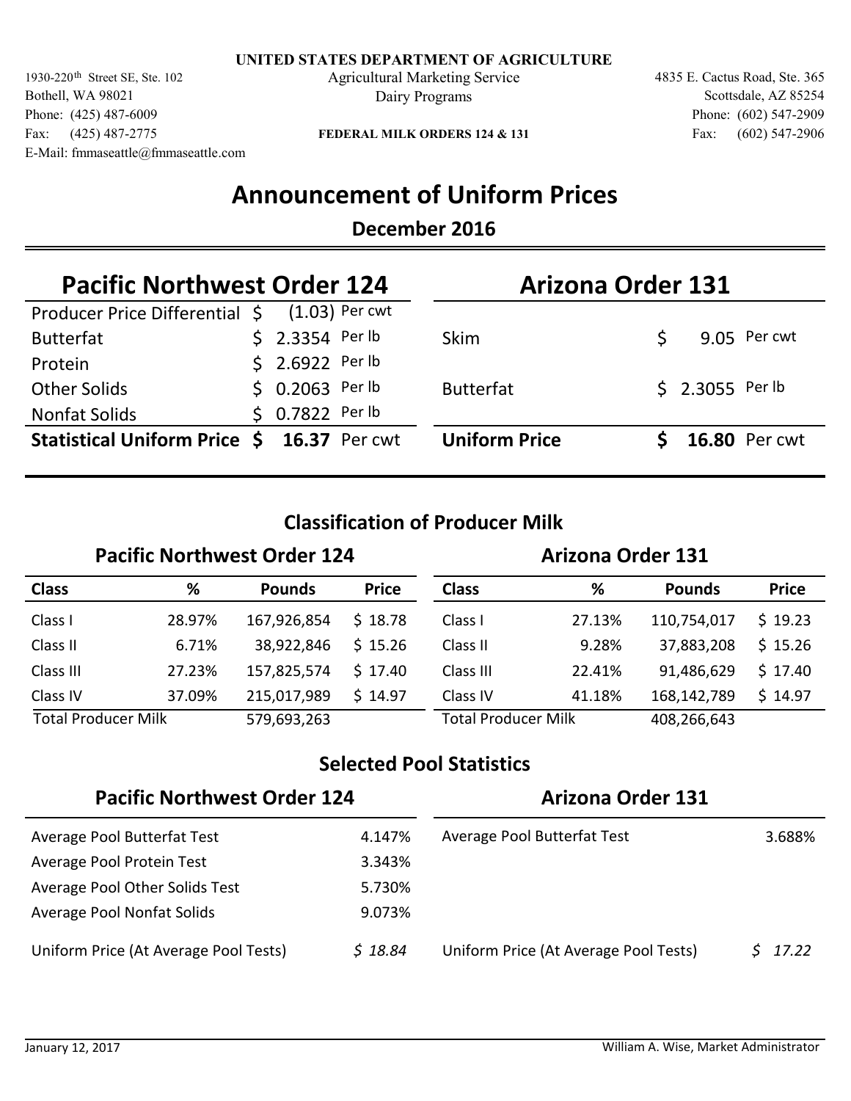1930-220<sup>th</sup> Street SE, Ste. 102 **Agricultural Marketing Service** 4835 E. Cactus Road, Ste. 365 Bothell, WA 98021 Phone: (425) 487-6009 Fax: (425) 487-2775 E-Mail: fmmaseattle@fmmaseattle.com

Dairy Programs

Fax: (602) 547-2906 Phone: (602) 547-2909 Scottsdale, AZ 85254

**FEDERAL MILK ORDERS 124 & 131**

## **Announcement of Uniform Prices**

### **December 2016**

| <b>Pacific Northwest Order 124</b>            |  |                  | <b>Arizona Order 131</b> |  |                  |                      |
|-----------------------------------------------|--|------------------|--------------------------|--|------------------|----------------------|
| Producer Price Differential \$ (1.03) Per cwt |  |                  |                          |  |                  |                      |
| <b>Butterfat</b>                              |  | $$2.3354$ Per lb | <b>Skim</b>              |  |                  | 9.05 Per cwt         |
| Protein                                       |  | \$ 2.6922 Per lb |                          |  |                  |                      |
| <b>Other Solids</b>                           |  | $$0.2063$ Per lb | <b>Butterfat</b>         |  | $$2.3055$ Per lb |                      |
| <b>Nonfat Solids</b>                          |  | \$ 0.7822 Per lb |                          |  |                  |                      |
| Statistical Uniform Price \$ 16.37 Per cwt    |  |                  | <b>Uniform Price</b>     |  |                  | <b>16.80 Per cwt</b> |

### **Classification of Producer Milk**

#### **Pacific Northwest Order 124 Arizona Order 131 Class % Pounds Price Class % Pounds Price** Class I Class II Class III Class IV Total Producer Milk 579,693,263 Class IV Class III Class II 28.97% 167,926,854 \$ 18.78 Class I 6.71% 27.23% 37.09% 27.13% 9.28% 22.41% 41.18% 38,922,846 157,825,574 215,017,989 110,754,017 37,883,208 91,486,629 168,142,789 Total Producer Milk 408,266,643  $$18.78$  $$15.26$  $$17.40$  14.97 \$  $$19.23$  15.26 \$  $$17.40$ 14.97 \$

### **Selected Pool Statistics**

| <b>Pacific Northwest Order 124</b>    |         | <b>Arizona Order 131</b>              |        |  |
|---------------------------------------|---------|---------------------------------------|--------|--|
| Average Pool Butterfat Test           | 4.147%  | Average Pool Butterfat Test           | 3.688% |  |
| Average Pool Protein Test             | 3.343%  |                                       |        |  |
| Average Pool Other Solids Test        | 5.730%  |                                       |        |  |
| Average Pool Nonfat Solids            | 9.073%  |                                       |        |  |
| Uniform Price (At Average Pool Tests) | \$18.84 | Uniform Price (At Average Pool Tests) | 17.22  |  |